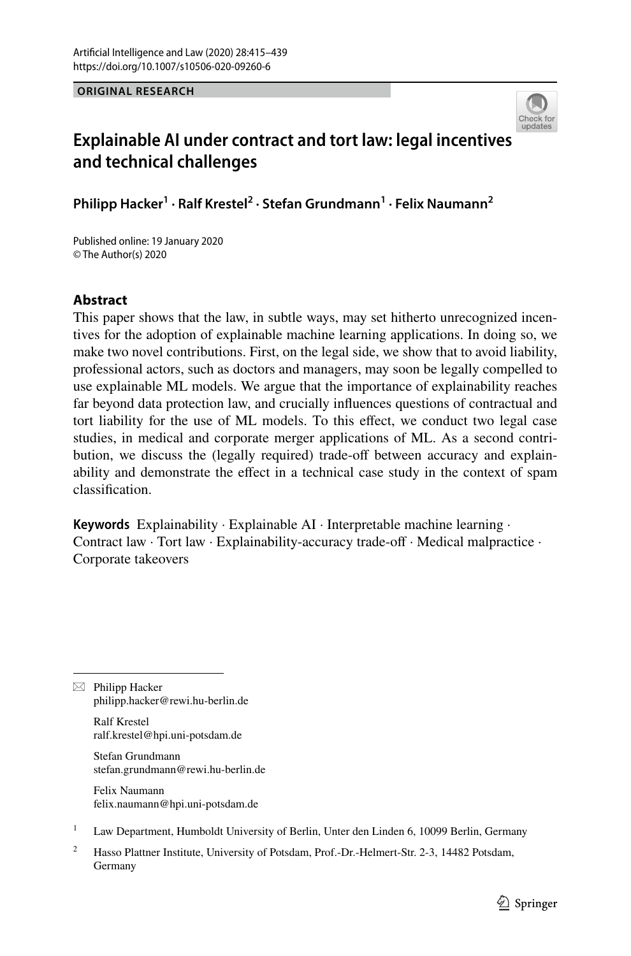**ORIGINAL RESEARCH**



# **Explainable AI under contract and tort law: legal incentives and technical challenges**

**Philipp Hacker<sup>1</sup> · Ralf Krestel2 · Stefan Grundmann1 · Felix Naumann2**

Published online: 19 January 2020 © The Author(s) 2020

## **Abstract**

This paper shows that the law, in subtle ways, may set hitherto unrecognized incentives for the adoption of explainable machine learning applications. In doing so, we make two novel contributions. First, on the legal side, we show that to avoid liability, professional actors, such as doctors and managers, may soon be legally compelled to use explainable ML models. We argue that the importance of explainability reaches far beyond data protection law, and crucially infuences questions of contractual and tort liability for the use of ML models. To this efect, we conduct two legal case studies, in medical and corporate merger applications of ML. As a second contribution, we discuss the (legally required) trade-off between accuracy and explainability and demonstrate the efect in a technical case study in the context of spam classifcation.

**Keywords** Explainability · Explainable AI · Interpretable machine learning · Contract law · Tort law · Explainability-accuracy trade-off · Medical malpractice · Corporate takeovers

 $\boxtimes$  Philipp Hacker philipp.hacker@rewi.hu-berlin.de

> Ralf Krestel ralf.krestel@hpi.uni-potsdam.de

Stefan Grundmann stefan.grundmann@rewi.hu-berlin.de

Felix Naumann felix.naumann@hpi.uni-potsdam.de

- <sup>1</sup> Law Department, Humboldt University of Berlin, Unter den Linden 6, 10099 Berlin, Germany
- <sup>2</sup> Hasso Plattner Institute, University of Potsdam, Prof.-Dr.-Helmert-Str. 2-3, 14482 Potsdam, Germany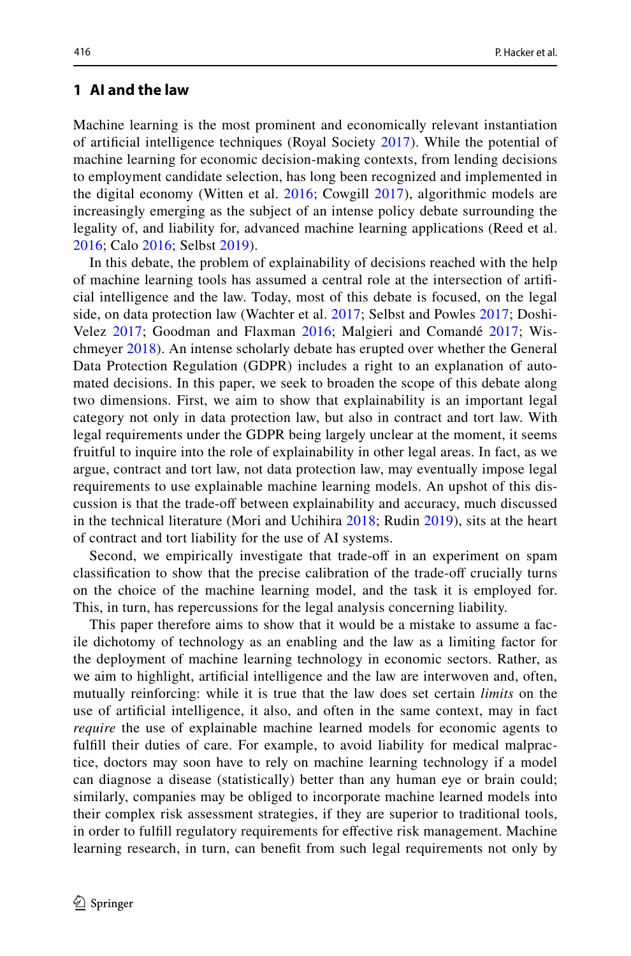#### <span id="page-1-0"></span>**1 AI and the law**

Machine learning is the most prominent and economically relevant instantiation of artifcial intelligence techniques (Royal Society [2017](#page-23-0)). While the potential of machine learning for economic decision-making contexts, from lending decisions to employment candidate selection, has long been recognized and implemented in the digital economy (Witten et al. [2016](#page-24-0); Cowgill [2017\)](#page-22-0), algorithmic models are increasingly emerging as the subject of an intense policy debate surrounding the legality of, and liability for, advanced machine learning applications (Reed et al. [2016;](#page-23-1) Calo [2016;](#page-22-1) Selbst [2019\)](#page-23-2).

In this debate, the problem of explainability of decisions reached with the help of machine learning tools has assumed a central role at the intersection of artifcial intelligence and the law. Today, most of this debate is focused, on the legal side, on data protection law (Wachter et al. [2017](#page-24-1); Selbst and Powles [2017;](#page-23-3) Doshi-Velez [2017](#page-22-2); Goodman and Flaxman [2016;](#page-22-3) Malgieri and Comandé [2017](#page-23-4); Wischmeyer [2018\)](#page-24-2). An intense scholarly debate has erupted over whether the General Data Protection Regulation (GDPR) includes a right to an explanation of automated decisions. In this paper, we seek to broaden the scope of this debate along two dimensions. First, we aim to show that explainability is an important legal category not only in data protection law, but also in contract and tort law. With legal requirements under the GDPR being largely unclear at the moment, it seems fruitful to inquire into the role of explainability in other legal areas. In fact, as we argue, contract and tort law, not data protection law, may eventually impose legal requirements to use explainable machine learning models. An upshot of this discussion is that the trade-of between explainability and accuracy, much discussed in the technical literature (Mori and Uchihira [2018;](#page-23-5) Rudin [2019\)](#page-23-6), sits at the heart of contract and tort liability for the use of AI systems.

Second, we empirically investigate that trade-off in an experiment on spam classifcation to show that the precise calibration of the trade-of crucially turns on the choice of the machine learning model, and the task it is employed for. This, in turn, has repercussions for the legal analysis concerning liability.

This paper therefore aims to show that it would be a mistake to assume a facile dichotomy of technology as an enabling and the law as a limiting factor for the deployment of machine learning technology in economic sectors. Rather, as we aim to highlight, artifcial intelligence and the law are interwoven and, often, mutually reinforcing: while it is true that the law does set certain *limits* on the use of artifcial intelligence, it also, and often in the same context, may in fact *require* the use of explainable machine learned models for economic agents to fulfll their duties of care. For example, to avoid liability for medical malpractice, doctors may soon have to rely on machine learning technology if a model can diagnose a disease (statistically) better than any human eye or brain could; similarly, companies may be obliged to incorporate machine learned models into their complex risk assessment strategies, if they are superior to traditional tools, in order to fulfll regulatory requirements for efective risk management. Machine learning research, in turn, can beneft from such legal requirements not only by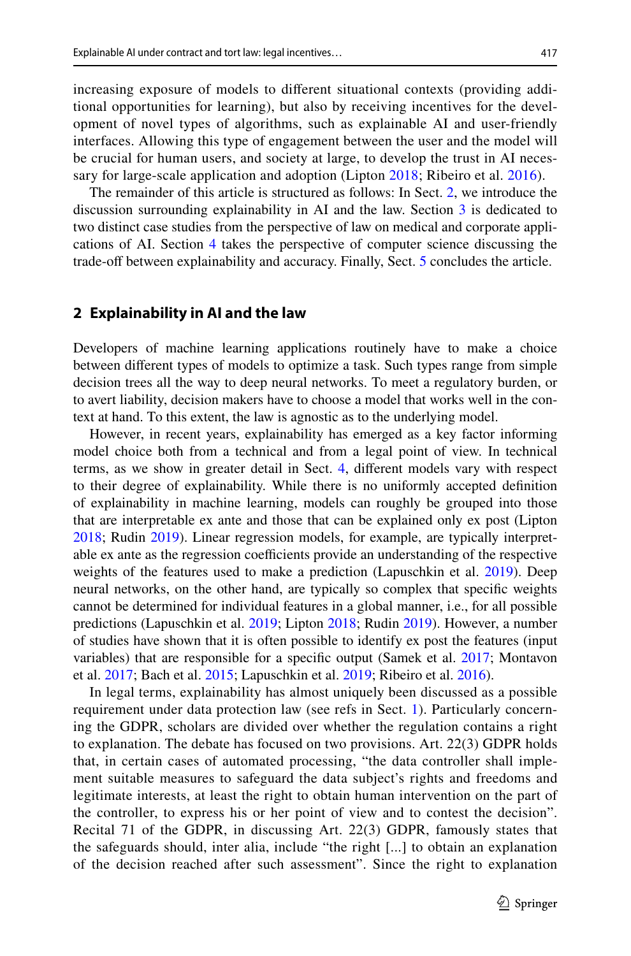increasing exposure of models to diferent situational contexts (providing additional opportunities for learning), but also by receiving incentives for the development of novel types of algorithms, such as explainable AI and user-friendly interfaces. Allowing this type of engagement between the user and the model will be crucial for human users, and society at large, to develop the trust in AI necessary for large-scale application and adoption (Lipton [2018;](#page-23-7) Ribeiro et al. [2016](#page-23-8)).

The remainder of this article is structured as follows: In Sect. [2](#page-2-0), we introduce the discussion surrounding explainability in AI and the law. Section [3](#page-4-0) is dedicated to two distinct case studies from the perspective of law on medical and corporate applications of AI. Section [4](#page-14-0) takes the perspective of computer science discussing the trade-off between explainability and accuracy. Finally, Sect. [5](#page-21-0) concludes the article.

## <span id="page-2-0"></span>**2 Explainability in AI and the law**

Developers of machine learning applications routinely have to make a choice between diferent types of models to optimize a task. Such types range from simple decision trees all the way to deep neural networks. To meet a regulatory burden, or to avert liability, decision makers have to choose a model that works well in the context at hand. To this extent, the law is agnostic as to the underlying model.

However, in recent years, explainability has emerged as a key factor informing model choice both from a technical and from a legal point of view. In technical terms, as we show in greater detail in Sect. [4,](#page-14-0) diferent models vary with respect to their degree of explainability. While there is no uniformly accepted defnition of explainability in machine learning, models can roughly be grouped into those that are interpretable ex ante and those that can be explained only ex post (Lipton [2018](#page-23-7); Rudin [2019\)](#page-23-6). Linear regression models, for example, are typically interpretable ex ante as the regression coefficients provide an understanding of the respective weights of the features used to make a prediction (Lapuschkin et al. [2019\)](#page-23-9). Deep neural networks, on the other hand, are typically so complex that specifc weights cannot be determined for individual features in a global manner, i.e., for all possible predictions (Lapuschkin et al. [2019](#page-23-9); Lipton [2018](#page-23-7); Rudin [2019](#page-23-6)). However, a number of studies have shown that it is often possible to identify ex post the features (input variables) that are responsible for a specifc output (Samek et al. [2017](#page-23-10); Montavon et al. [2017;](#page-23-11) Bach et al. [2015;](#page-22-4) Lapuschkin et al. [2019](#page-23-9); Ribeiro et al. [2016\)](#page-23-8).

In legal terms, explainability has almost uniquely been discussed as a possible requirement under data protection law (see refs in Sect. [1\)](#page-1-0). Particularly concerning the GDPR, scholars are divided over whether the regulation contains a right to explanation. The debate has focused on two provisions. Art. 22(3) GDPR holds that, in certain cases of automated processing, "the data controller shall implement suitable measures to safeguard the data subject's rights and freedoms and legitimate interests, at least the right to obtain human intervention on the part of the controller, to express his or her point of view and to contest the decision". Recital 71 of the GDPR, in discussing Art. 22(3) GDPR, famously states that the safeguards should, inter alia, include "the right [...] to obtain an explanation of the decision reached after such assessment". Since the right to explanation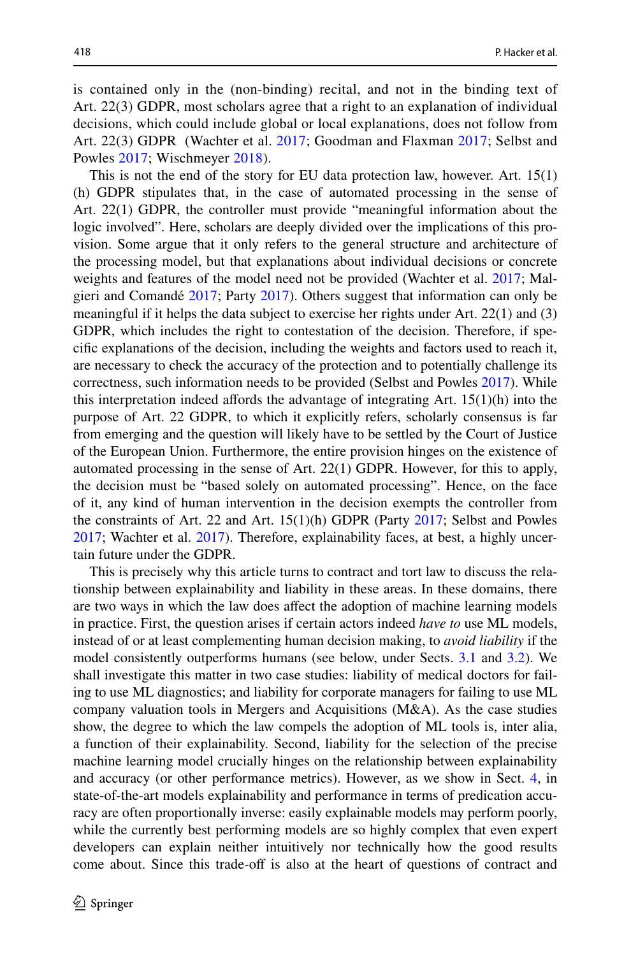is contained only in the (non-binding) recital, and not in the binding text of Art. 22(3) GDPR, most scholars agree that a right to an explanation of individual decisions, which could include global or local explanations, does not follow from Art. 22(3) GDPR (Wachter et al. [2017](#page-24-1); Goodman and Flaxman [2017;](#page-22-5) Selbst and Powles [2017](#page-23-3); Wischmeyer [2018](#page-24-2)).

This is not the end of the story for EU data protection law, however. Art. 15(1) (h) GDPR stipulates that, in the case of automated processing in the sense of Art. 22(1) GDPR, the controller must provide "meaningful information about the logic involved". Here, scholars are deeply divided over the implications of this provision. Some argue that it only refers to the general structure and architecture of the processing model, but that explanations about individual decisions or concrete weights and features of the model need not be provided (Wachter et al. [2017](#page-24-1); Malgieri and Comandé [2017](#page-23-4); Party [2017\)](#page-23-12). Others suggest that information can only be meaningful if it helps the data subject to exercise her rights under Art. 22(1) and (3) GDPR, which includes the right to contestation of the decision. Therefore, if specifc explanations of the decision, including the weights and factors used to reach it, are necessary to check the accuracy of the protection and to potentially challenge its correctness, such information needs to be provided (Selbst and Powles [2017](#page-23-3)). While this interpretation indeed affords the advantage of integrating Art.  $15(1)(h)$  into the purpose of Art. 22 GDPR, to which it explicitly refers, scholarly consensus is far from emerging and the question will likely have to be settled by the Court of Justice of the European Union. Furthermore, the entire provision hinges on the existence of automated processing in the sense of Art. 22(1) GDPR. However, for this to apply, the decision must be "based solely on automated processing". Hence, on the face of it, any kind of human intervention in the decision exempts the controller from the constraints of Art. 22 and Art. 15(1)(h) GDPR (Party [2017;](#page-23-12) Selbst and Powles [2017](#page-23-3); Wachter et al. [2017\)](#page-24-1). Therefore, explainability faces, at best, a highly uncertain future under the GDPR.

This is precisely why this article turns to contract and tort law to discuss the relationship between explainability and liability in these areas. In these domains, there are two ways in which the law does afect the adoption of machine learning models in practice. First, the question arises if certain actors indeed *have to* use ML models, instead of or at least complementing human decision making, to *avoid liability* if the model consistently outperforms humans (see below, under Sects. [3.1](#page-4-1) and [3.2\)](#page-10-0). We shall investigate this matter in two case studies: liability of medical doctors for failing to use ML diagnostics; and liability for corporate managers for failing to use ML company valuation tools in Mergers and Acquisitions (M&A). As the case studies show, the degree to which the law compels the adoption of ML tools is, inter alia, a function of their explainability. Second, liability for the selection of the precise machine learning model crucially hinges on the relationship between explainability and accuracy (or other performance metrics). However, as we show in Sect. [4](#page-14-0), in state-of-the-art models explainability and performance in terms of predication accuracy are often proportionally inverse: easily explainable models may perform poorly, while the currently best performing models are so highly complex that even expert developers can explain neither intuitively nor technically how the good results come about. Since this trade-off is also at the heart of questions of contract and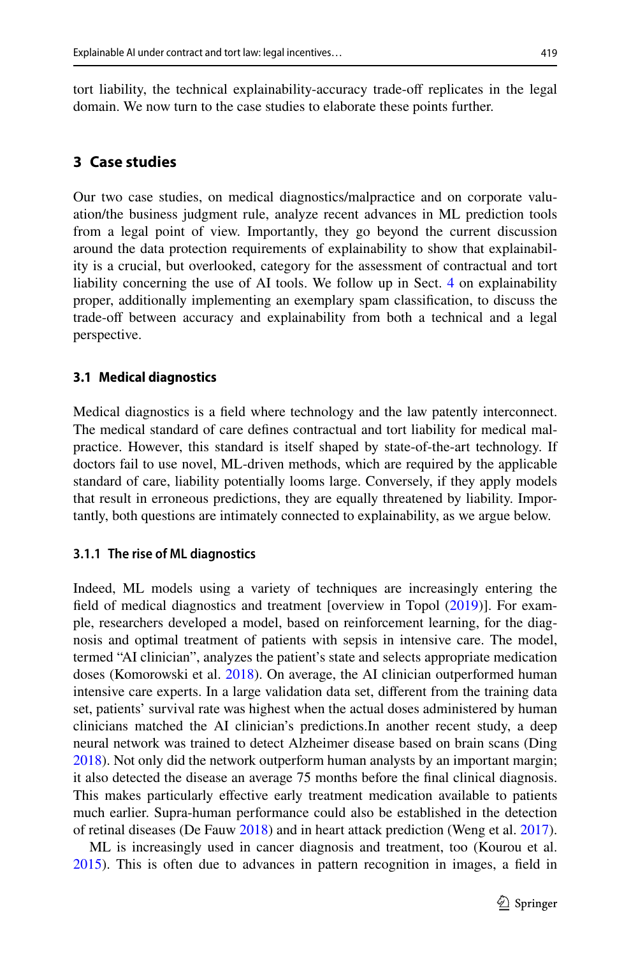tort liability, the technical explainability-accuracy trade-off replicates in the legal domain. We now turn to the case studies to elaborate these points further.

## <span id="page-4-0"></span>**3 Case studies**

Our two case studies, on medical diagnostics/malpractice and on corporate valuation/the business judgment rule, analyze recent advances in ML prediction tools from a legal point of view. Importantly, they go beyond the current discussion around the data protection requirements of explainability to show that explainability is a crucial, but overlooked, category for the assessment of contractual and tort liability concerning the use of AI tools. We follow up in Sect. [4](#page-14-0) on explainability proper, additionally implementing an exemplary spam classifcation, to discuss the trade-of between accuracy and explainability from both a technical and a legal perspective.

#### <span id="page-4-1"></span>**3.1 Medical diagnostics**

Medical diagnostics is a feld where technology and the law patently interconnect. The medical standard of care defnes contractual and tort liability for medical malpractice. However, this standard is itself shaped by state-of-the-art technology. If doctors fail to use novel, ML-driven methods, which are required by the applicable standard of care, liability potentially looms large. Conversely, if they apply models that result in erroneous predictions, they are equally threatened by liability. Importantly, both questions are intimately connected to explainability, as we argue below.

#### **3.1.1 The rise of ML diagnostics**

Indeed, ML models using a variety of techniques are increasingly entering the feld of medical diagnostics and treatment [overview in Topol [\(2019](#page-24-3))]. For example, researchers developed a model, based on reinforcement learning, for the diagnosis and optimal treatment of patients with sepsis in intensive care. The model, termed "AI clinician", analyzes the patient's state and selects appropriate medication doses (Komorowski et al. [2018](#page-22-6)). On average, the AI clinician outperformed human intensive care experts. In a large validation data set, diferent from the training data set, patients' survival rate was highest when the actual doses administered by human clinicians matched the AI clinician's predictions.In another recent study, a deep neural network was trained to detect Alzheimer disease based on brain scans (Ding [2018](#page-22-7)). Not only did the network outperform human analysts by an important margin; it also detected the disease an average 75 months before the fnal clinical diagnosis. This makes particularly efective early treatment medication available to patients much earlier. Supra-human performance could also be established in the detection of retinal diseases (De Fauw [2018\)](#page-22-8) and in heart attack prediction (Weng et al. [2017\)](#page-24-4).

ML is increasingly used in cancer diagnosis and treatment, too (Kourou et al. [2015](#page-23-13)). This is often due to advances in pattern recognition in images, a feld in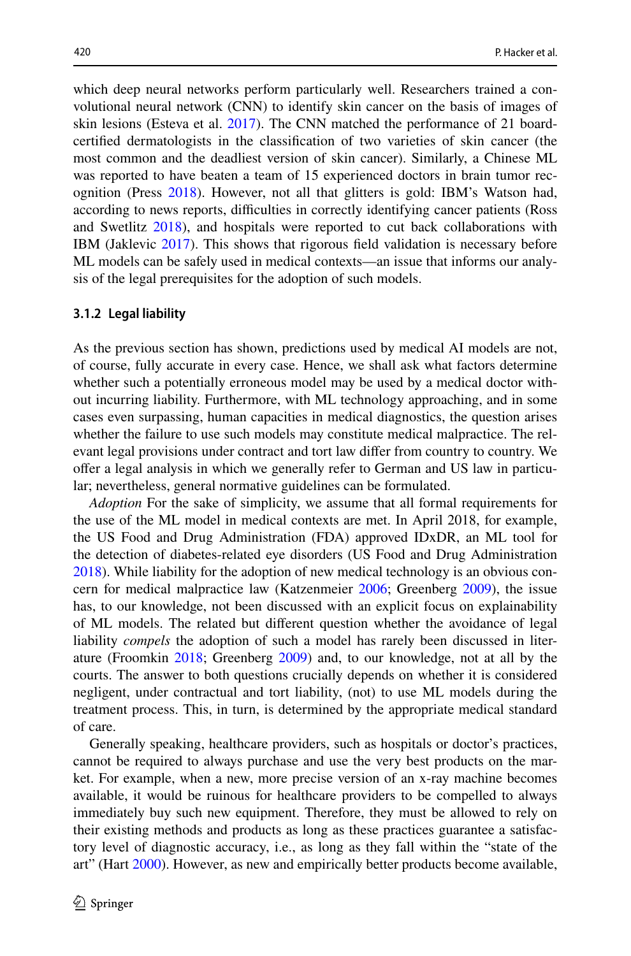which deep neural networks perform particularly well. Researchers trained a convolutional neural network (CNN) to identify skin cancer on the basis of images of skin lesions (Esteva et al. [2017](#page-22-9)). The CNN matched the performance of 21 boardcertifed dermatologists in the classifcation of two varieties of skin cancer (the most common and the deadliest version of skin cancer). Similarly, a Chinese ML was reported to have beaten a team of 15 experienced doctors in brain tumor recognition (Press [2018](#page-23-14)). However, not all that glitters is gold: IBM's Watson had, according to news reports, difficulties in correctly identifying cancer patients (Ross and Swetlitz [2018\)](#page-23-15), and hospitals were reported to cut back collaborations with IBM (Jaklevic [2017](#page-22-10)). This shows that rigorous feld validation is necessary before ML models can be safely used in medical contexts—an issue that informs our analysis of the legal prerequisites for the adoption of such models.

#### <span id="page-5-0"></span>**3.1.2 Legal liability**

As the previous section has shown, predictions used by medical AI models are not, of course, fully accurate in every case. Hence, we shall ask what factors determine whether such a potentially erroneous model may be used by a medical doctor without incurring liability. Furthermore, with ML technology approaching, and in some cases even surpassing, human capacities in medical diagnostics, the question arises whether the failure to use such models may constitute medical malpractice. The relevant legal provisions under contract and tort law difer from country to country. We ofer a legal analysis in which we generally refer to German and US law in particular; nevertheless, general normative guidelines can be formulated.

*Adoption* For the sake of simplicity, we assume that all formal requirements for the use of the ML model in medical contexts are met. In April 2018, for example, the US Food and Drug Administration (FDA) approved IDxDR, an ML tool for the detection of diabetes-related eye disorders (US Food and Drug Administration [2018](#page-24-5)). While liability for the adoption of new medical technology is an obvious concern for medical malpractice law (Katzenmeier [2006;](#page-22-11) Greenberg [2009](#page-22-12)), the issue has, to our knowledge, not been discussed with an explicit focus on explainability of ML models. The related but diferent question whether the avoidance of legal liability *compels* the adoption of such a model has rarely been discussed in literature (Froomkin [2018;](#page-22-13) Greenberg [2009](#page-22-12)) and, to our knowledge, not at all by the courts. The answer to both questions crucially depends on whether it is considered negligent, under contractual and tort liability, (not) to use ML models during the treatment process. This, in turn, is determined by the appropriate medical standard of care.

Generally speaking, healthcare providers, such as hospitals or doctor's practices, cannot be required to always purchase and use the very best products on the market. For example, when a new, more precise version of an x-ray machine becomes available, it would be ruinous for healthcare providers to be compelled to always immediately buy such new equipment. Therefore, they must be allowed to rely on their existing methods and products as long as these practices guarantee a satisfactory level of diagnostic accuracy, i.e., as long as they fall within the "state of the art" (Hart [2000](#page-22-14)). However, as new and empirically better products become available,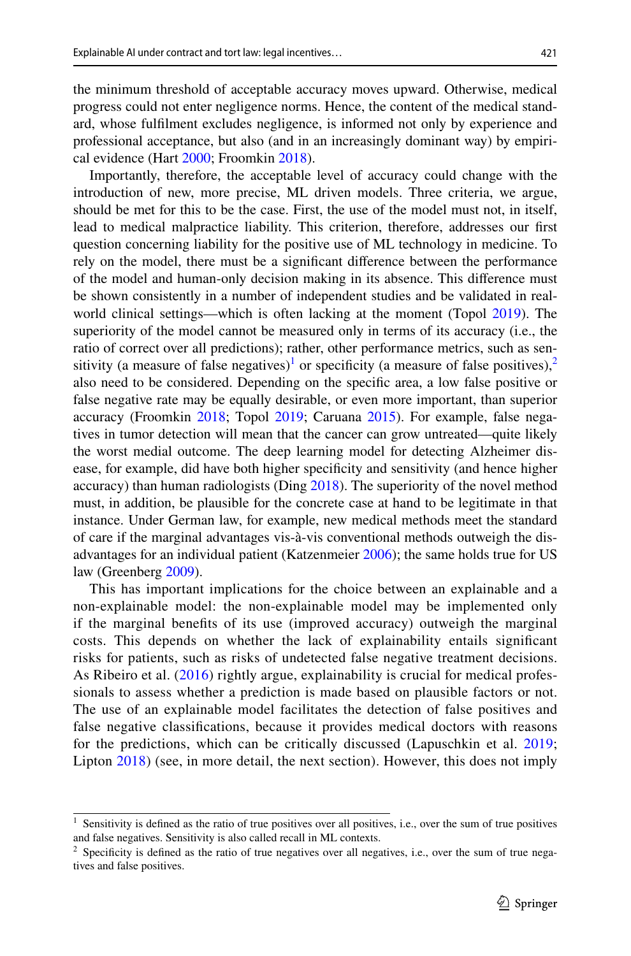the minimum threshold of acceptable accuracy moves upward. Otherwise, medical progress could not enter negligence norms. Hence, the content of the medical standard, whose fulflment excludes negligence, is informed not only by experience and professional acceptance, but also (and in an increasingly dominant way) by empirical evidence (Hart [2000;](#page-22-14) Froomkin [2018](#page-22-13)).

Importantly, therefore, the acceptable level of accuracy could change with the introduction of new, more precise, ML driven models. Three criteria, we argue, should be met for this to be the case. First, the use of the model must not, in itself, lead to medical malpractice liability. This criterion, therefore, addresses our frst question concerning liability for the positive use of ML technology in medicine. To rely on the model, there must be a signifcant diference between the performance of the model and human-only decision making in its absence. This diference must be shown consistently in a number of independent studies and be validated in real-world clinical settings—which is often lacking at the moment (Topol [2019](#page-24-3)). The superiority of the model cannot be measured only in terms of its accuracy (i.e., the ratio of correct over all predictions); rather, other performance metrics, such as sen-sitivity (a measure of false negatives)<sup>1</sup> or specificity (a measure of false positives),<sup>[2](#page-6-1)</sup> also need to be considered. Depending on the specifc area, a low false positive or false negative rate may be equally desirable, or even more important, than superior accuracy (Froomkin [2018](#page-22-13); Topol [2019;](#page-24-3) Caruana [2015\)](#page-22-15). For example, false negatives in tumor detection will mean that the cancer can grow untreated—quite likely the worst medial outcome. The deep learning model for detecting Alzheimer disease, for example, did have both higher specifcity and sensitivity (and hence higher accuracy) than human radiologists (Ding [2018](#page-22-7)). The superiority of the novel method must, in addition, be plausible for the concrete case at hand to be legitimate in that instance. Under German law, for example, new medical methods meet the standard of care if the marginal advantages vis-à-vis conventional methods outweigh the disadvantages for an individual patient (Katzenmeier [2006](#page-22-11)); the same holds true for US law (Greenberg [2009](#page-22-12)).

This has important implications for the choice between an explainable and a non-explainable model: the non-explainable model may be implemented only if the marginal benefts of its use (improved accuracy) outweigh the marginal costs. This depends on whether the lack of explainability entails signifcant risks for patients, such as risks of undetected false negative treatment decisions. As Ribeiro et al. ([2016](#page-23-8)) rightly argue, explainability is crucial for medical professionals to assess whether a prediction is made based on plausible factors or not. The use of an explainable model facilitates the detection of false positives and false negative classifcations, because it provides medical doctors with reasons for the predictions, which can be critically discussed (Lapuschkin et al. [2019;](#page-23-9) Lipton [2018\)](#page-23-7) (see, in more detail, the next section). However, this does not imply

<span id="page-6-0"></span><sup>1</sup> Sensitivity is defned as the ratio of true positives over all positives, i.e., over the sum of true positives and false negatives. Sensitivity is also called recall in ML contexts.

<span id="page-6-1"></span> $2$  Specificity is defined as the ratio of true negatives over all negatives, i.e., over the sum of true negatives and false positives.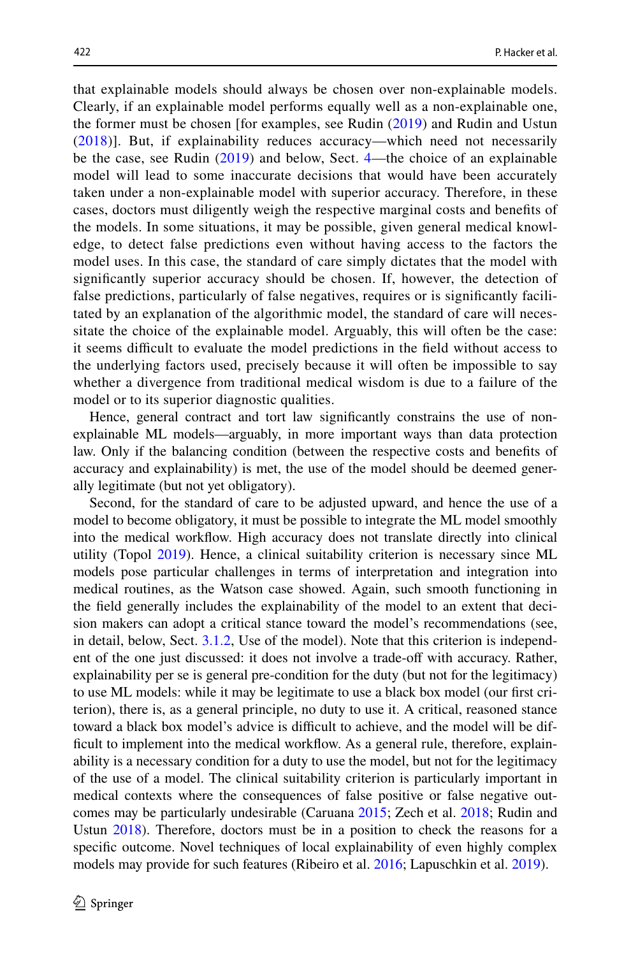that explainable models should always be chosen over non-explainable models. Clearly, if an explainable model performs equally well as a non-explainable one, the former must be chosen [for examples, see Rudin ([2019](#page-23-6)) and Rudin and Ustun [\(2018](#page-23-16))]. But, if explainability reduces accuracy—which need not necessarily be the case, see Rudin [\(2019\)](#page-23-6) and below, Sect. [4—](#page-14-0)the choice of an explainable model will lead to some inaccurate decisions that would have been accurately taken under a non-explainable model with superior accuracy. Therefore, in these cases, doctors must diligently weigh the respective marginal costs and benefts of the models. In some situations, it may be possible, given general medical knowledge, to detect false predictions even without having access to the factors the model uses. In this case, the standard of care simply dictates that the model with signifcantly superior accuracy should be chosen. If, however, the detection of false predictions, particularly of false negatives, requires or is signifcantly facilitated by an explanation of the algorithmic model, the standard of care will necessitate the choice of the explainable model. Arguably, this will often be the case: it seems difficult to evaluate the model predictions in the field without access to the underlying factors used, precisely because it will often be impossible to say whether a divergence from traditional medical wisdom is due to a failure of the model or to its superior diagnostic qualities.

Hence, general contract and tort law signifcantly constrains the use of nonexplainable ML models—arguably, in more important ways than data protection law. Only if the balancing condition (between the respective costs and benefts of accuracy and explainability) is met, the use of the model should be deemed generally legitimate (but not yet obligatory).

Second, for the standard of care to be adjusted upward, and hence the use of a model to become obligatory, it must be possible to integrate the ML model smoothly into the medical workfow. High accuracy does not translate directly into clinical utility (Topol [2019\)](#page-24-3). Hence, a clinical suitability criterion is necessary since ML models pose particular challenges in terms of interpretation and integration into medical routines, as the Watson case showed. Again, such smooth functioning in the feld generally includes the explainability of the model to an extent that decision makers can adopt a critical stance toward the model's recommendations (see, in detail, below, Sect. [3.1.2,](#page-5-0) Use of the model). Note that this criterion is independent of the one just discussed: it does not involve a trade-off with accuracy. Rather, explainability per se is general pre-condition for the duty (but not for the legitimacy) to use ML models: while it may be legitimate to use a black box model (our frst criterion), there is, as a general principle, no duty to use it. A critical, reasoned stance toward a black box model's advice is difficult to achieve, and the model will be difficult to implement into the medical workflow. As a general rule, therefore, explainability is a necessary condition for a duty to use the model, but not for the legitimacy of the use of a model. The clinical suitability criterion is particularly important in medical contexts where the consequences of false positive or false negative outcomes may be particularly undesirable (Caruana [2015;](#page-22-15) Zech et al. [2018;](#page-24-6) Rudin and Ustun [2018\)](#page-23-16). Therefore, doctors must be in a position to check the reasons for a specifc outcome. Novel techniques of local explainability of even highly complex models may provide for such features (Ribeiro et al. [2016;](#page-23-8) Lapuschkin et al. [2019\)](#page-23-9).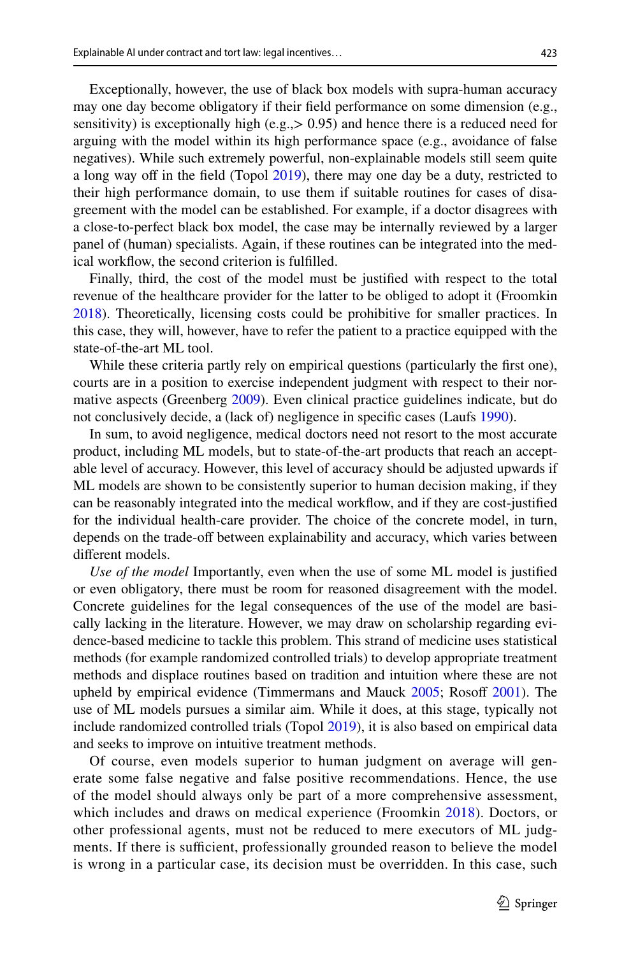Exceptionally, however, the use of black box models with supra-human accuracy may one day become obligatory if their feld performance on some dimension (e.g., sensitivity) is exceptionally high (e.g.,  $> 0.95$ ) and hence there is a reduced need for arguing with the model within its high performance space (e.g., avoidance of false negatives). While such extremely powerful, non-explainable models still seem quite a long way of in the feld (Topol [2019](#page-24-3)), there may one day be a duty, restricted to their high performance domain, to use them if suitable routines for cases of disagreement with the model can be established. For example, if a doctor disagrees with a close-to-perfect black box model, the case may be internally reviewed by a larger panel of (human) specialists. Again, if these routines can be integrated into the medical workfow, the second criterion is fulflled.

Finally, third, the cost of the model must be justifed with respect to the total revenue of the healthcare provider for the latter to be obliged to adopt it (Froomkin [2018](#page-22-13)). Theoretically, licensing costs could be prohibitive for smaller practices. In this case, they will, however, have to refer the patient to a practice equipped with the state-of-the-art ML tool.

While these criteria partly rely on empirical questions (particularly the frst one), courts are in a position to exercise independent judgment with respect to their normative aspects (Greenberg [2009](#page-22-12)). Even clinical practice guidelines indicate, but do not conclusively decide, a (lack of) negligence in specifc cases (Laufs [1990](#page-23-17)).

In sum, to avoid negligence, medical doctors need not resort to the most accurate product, including ML models, but to state-of-the-art products that reach an acceptable level of accuracy. However, this level of accuracy should be adjusted upwards if ML models are shown to be consistently superior to human decision making, if they can be reasonably integrated into the medical workfow, and if they are cost-justifed for the individual health-care provider. The choice of the concrete model, in turn, depends on the trade-off between explainability and accuracy, which varies between diferent models.

*Use of the model* Importantly, even when the use of some ML model is justifed or even obligatory, there must be room for reasoned disagreement with the model. Concrete guidelines for the legal consequences of the use of the model are basically lacking in the literature. However, we may draw on scholarship regarding evidence-based medicine to tackle this problem. This strand of medicine uses statistical methods (for example randomized controlled trials) to develop appropriate treatment methods and displace routines based on tradition and intuition where these are not upheld by empirical evidence (Timmermans and Mauck [2005](#page-24-7); Rosoff [2001](#page-23-18)). The use of ML models pursues a similar aim. While it does, at this stage, typically not include randomized controlled trials (Topol [2019](#page-24-3)), it is also based on empirical data and seeks to improve on intuitive treatment methods.

Of course, even models superior to human judgment on average will generate some false negative and false positive recommendations. Hence, the use of the model should always only be part of a more comprehensive assessment, which includes and draws on medical experience (Froomkin [2018](#page-22-13)). Doctors, or other professional agents, must not be reduced to mere executors of ML judgments. If there is sufficient, professionally grounded reason to believe the model is wrong in a particular case, its decision must be overridden. In this case, such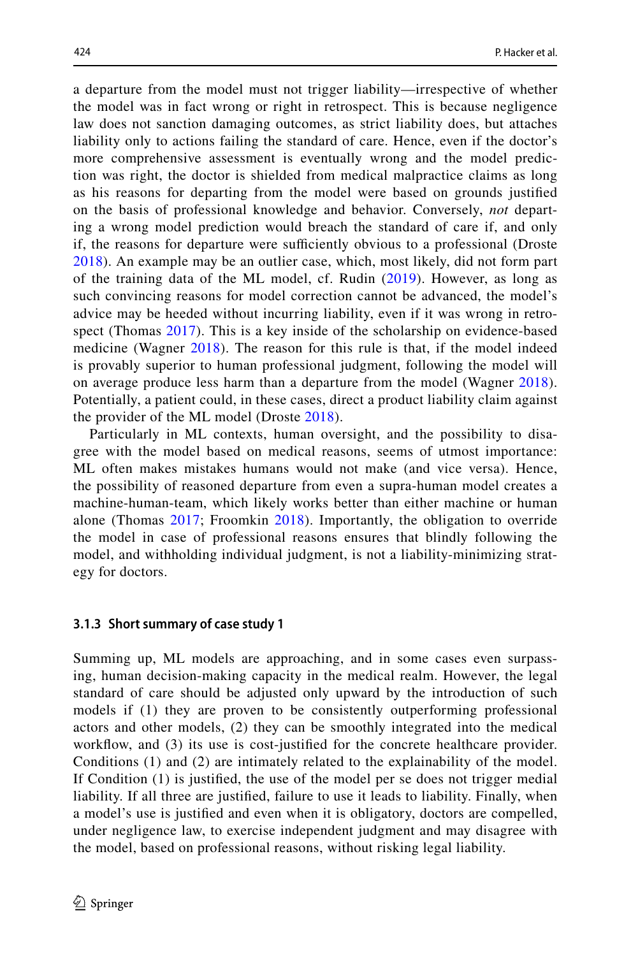a departure from the model must not trigger liability—irrespective of whether the model was in fact wrong or right in retrospect. This is because negligence law does not sanction damaging outcomes, as strict liability does, but attaches liability only to actions failing the standard of care. Hence, even if the doctor's more comprehensive assessment is eventually wrong and the model prediction was right, the doctor is shielded from medical malpractice claims as long as his reasons for departing from the model were based on grounds justifed on the basis of professional knowledge and behavior. Conversely, *not* departing a wrong model prediction would breach the standard of care if, and only if, the reasons for departure were sufficiently obvious to a professional (Droste [2018\)](#page-22-16). An example may be an outlier case, which, most likely, did not form part of the training data of the ML model, cf. Rudin [\(2019](#page-23-6)). However, as long as such convincing reasons for model correction cannot be advanced, the model's advice may be heeded without incurring liability, even if it was wrong in retrospect (Thomas [2017\)](#page-24-8). This is a key inside of the scholarship on evidence-based medicine (Wagner [2018\)](#page-24-9). The reason for this rule is that, if the model indeed is provably superior to human professional judgment, following the model will on average produce less harm than a departure from the model (Wagner [2018](#page-24-9)). Potentially, a patient could, in these cases, direct a product liability claim against the provider of the ML model (Droste [2018](#page-22-16)).

Particularly in ML contexts, human oversight, and the possibility to disagree with the model based on medical reasons, seems of utmost importance: ML often makes mistakes humans would not make (and vice versa). Hence, the possibility of reasoned departure from even a supra-human model creates a machine-human-team, which likely works better than either machine or human alone (Thomas [2017](#page-24-8); Froomkin [2018](#page-22-13)). Importantly, the obligation to override the model in case of professional reasons ensures that blindly following the model, and withholding individual judgment, is not a liability-minimizing strategy for doctors.

#### **3.1.3 Short summary of case study 1**

Summing up, ML models are approaching, and in some cases even surpassing, human decision-making capacity in the medical realm. However, the legal standard of care should be adjusted only upward by the introduction of such models if (1) they are proven to be consistently outperforming professional actors and other models, (2) they can be smoothly integrated into the medical workflow, and (3) its use is cost-justified for the concrete healthcare provider. Conditions (1) and (2) are intimately related to the explainability of the model. If Condition (1) is justifed, the use of the model per se does not trigger medial liability. If all three are justifed, failure to use it leads to liability. Finally, when a model's use is justifed and even when it is obligatory, doctors are compelled, under negligence law, to exercise independent judgment and may disagree with the model, based on professional reasons, without risking legal liability.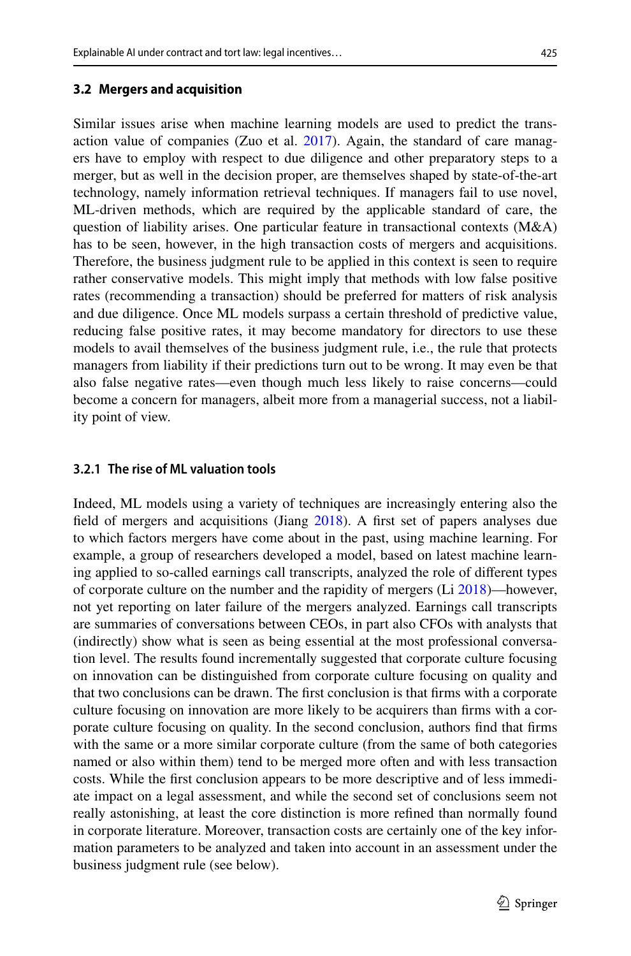#### <span id="page-10-0"></span>**3.2 Mergers and acquisition**

Similar issues arise when machine learning models are used to predict the transaction value of companies (Zuo et al.  $2017$ ). Again, the standard of care managers have to employ with respect to due diligence and other preparatory steps to a merger, but as well in the decision proper, are themselves shaped by state-of-the-art technology, namely information retrieval techniques. If managers fail to use novel, ML-driven methods, which are required by the applicable standard of care, the question of liability arises. One particular feature in transactional contexts (M&A) has to be seen, however, in the high transaction costs of mergers and acquisitions. Therefore, the business judgment rule to be applied in this context is seen to require rather conservative models. This might imply that methods with low false positive rates (recommending a transaction) should be preferred for matters of risk analysis and due diligence. Once ML models surpass a certain threshold of predictive value, reducing false positive rates, it may become mandatory for directors to use these models to avail themselves of the business judgment rule, i.e., the rule that protects managers from liability if their predictions turn out to be wrong. It may even be that also false negative rates—even though much less likely to raise concerns—could become a concern for managers, albeit more from a managerial success, not a liability point of view.

#### **3.2.1 The rise of ML valuation tools**

Indeed, ML models using a variety of techniques are increasingly entering also the feld of mergers and acquisitions (Jiang [2018\)](#page-22-17). A frst set of papers analyses due to which factors mergers have come about in the past, using machine learning. For example, a group of researchers developed a model, based on latest machine learning applied to so-called earnings call transcripts, analyzed the role of diferent types of corporate culture on the number and the rapidity of mergers (Li [2018](#page-23-19))—however, not yet reporting on later failure of the mergers analyzed. Earnings call transcripts are summaries of conversations between CEOs, in part also CFOs with analysts that (indirectly) show what is seen as being essential at the most professional conversation level. The results found incrementally suggested that corporate culture focusing on innovation can be distinguished from corporate culture focusing on quality and that two conclusions can be drawn. The frst conclusion is that frms with a corporate culture focusing on innovation are more likely to be acquirers than frms with a corporate culture focusing on quality. In the second conclusion, authors fnd that frms with the same or a more similar corporate culture (from the same of both categories named or also within them) tend to be merged more often and with less transaction costs. While the frst conclusion appears to be more descriptive and of less immediate impact on a legal assessment, and while the second set of conclusions seem not really astonishing, at least the core distinction is more refned than normally found in corporate literature. Moreover, transaction costs are certainly one of the key information parameters to be analyzed and taken into account in an assessment under the business judgment rule (see below).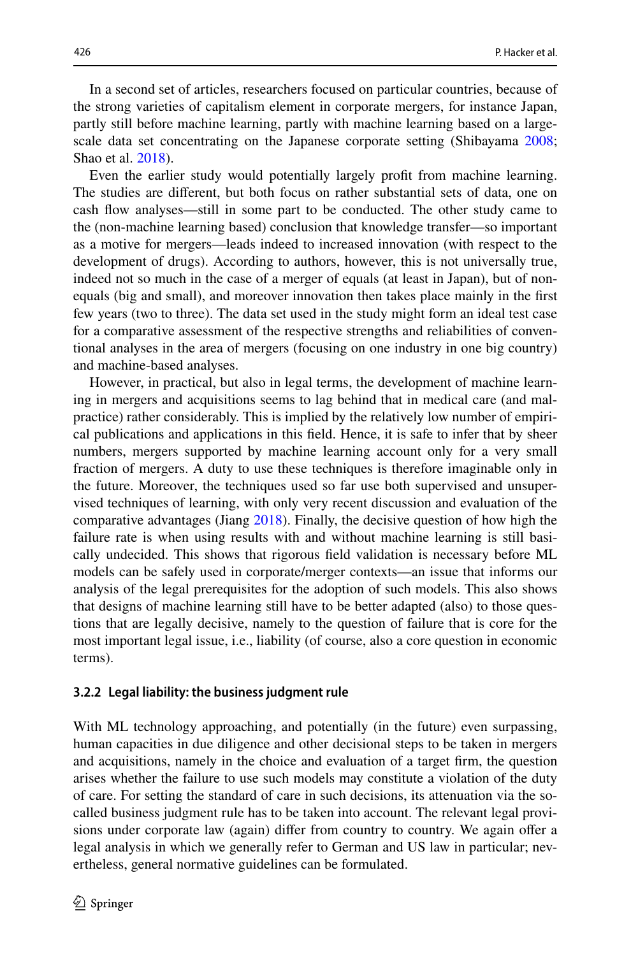In a second set of articles, researchers focused on particular countries, because of the strong varieties of capitalism element in corporate mergers, for instance Japan, partly still before machine learning, partly with machine learning based on a largescale data set concentrating on the Japanese corporate setting (Shibayama [2008;](#page-23-20) Shao et al. [2018](#page-23-21)).

Even the earlier study would potentially largely proft from machine learning. The studies are diferent, but both focus on rather substantial sets of data, one on cash fow analyses—still in some part to be conducted. The other study came to the (non-machine learning based) conclusion that knowledge transfer—so important as a motive for mergers—leads indeed to increased innovation (with respect to the development of drugs). According to authors, however, this is not universally true, indeed not so much in the case of a merger of equals (at least in Japan), but of nonequals (big and small), and moreover innovation then takes place mainly in the frst few years (two to three). The data set used in the study might form an ideal test case for a comparative assessment of the respective strengths and reliabilities of conventional analyses in the area of mergers (focusing on one industry in one big country) and machine-based analyses.

However, in practical, but also in legal terms, the development of machine learning in mergers and acquisitions seems to lag behind that in medical care (and malpractice) rather considerably. This is implied by the relatively low number of empirical publications and applications in this feld. Hence, it is safe to infer that by sheer numbers, mergers supported by machine learning account only for a very small fraction of mergers. A duty to use these techniques is therefore imaginable only in the future. Moreover, the techniques used so far use both supervised and unsupervised techniques of learning, with only very recent discussion and evaluation of the comparative advantages (Jiang [2018\)](#page-22-17). Finally, the decisive question of how high the failure rate is when using results with and without machine learning is still basically undecided. This shows that rigorous feld validation is necessary before ML models can be safely used in corporate/merger contexts—an issue that informs our analysis of the legal prerequisites for the adoption of such models. This also shows that designs of machine learning still have to be better adapted (also) to those questions that are legally decisive, namely to the question of failure that is core for the most important legal issue, i.e., liability (of course, also a core question in economic terms).

#### **3.2.2 Legal liability: the business judgment rule**

With ML technology approaching, and potentially (in the future) even surpassing, human capacities in due diligence and other decisional steps to be taken in mergers and acquisitions, namely in the choice and evaluation of a target frm, the question arises whether the failure to use such models may constitute a violation of the duty of care. For setting the standard of care in such decisions, its attenuation via the socalled business judgment rule has to be taken into account. The relevant legal provisions under corporate law (again) difer from country to country. We again ofer a legal analysis in which we generally refer to German and US law in particular; nevertheless, general normative guidelines can be formulated.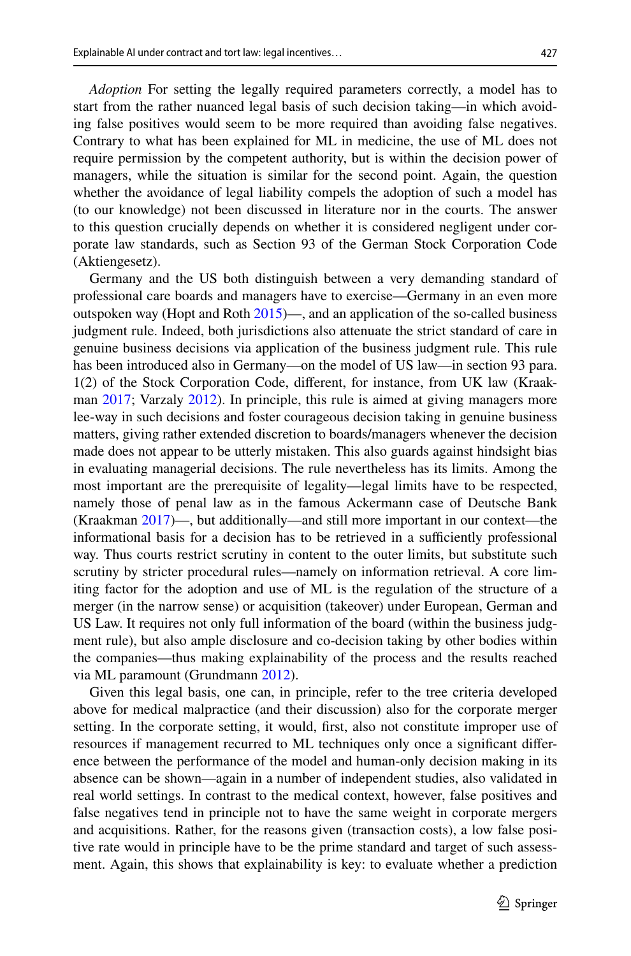*Adoption* For setting the legally required parameters correctly, a model has to start from the rather nuanced legal basis of such decision taking—in which avoiding false positives would seem to be more required than avoiding false negatives. Contrary to what has been explained for ML in medicine, the use of ML does not require permission by the competent authority, but is within the decision power of managers, while the situation is similar for the second point. Again, the question whether the avoidance of legal liability compels the adoption of such a model has (to our knowledge) not been discussed in literature nor in the courts. The answer to this question crucially depends on whether it is considered negligent under corporate law standards, such as Section 93 of the German Stock Corporation Code (Aktiengesetz).

Germany and the US both distinguish between a very demanding standard of professional care boards and managers have to exercise—Germany in an even more outspoken way (Hopt and Roth  $2015$ )—, and an application of the so-called business judgment rule. Indeed, both jurisdictions also attenuate the strict standard of care in genuine business decisions via application of the business judgment rule. This rule has been introduced also in Germany—on the model of US law—in section 93 para. 1(2) of the Stock Corporation Code, diferent, for instance, from UK law (Kraakman [2017](#page-23-22); Varzaly [2012](#page-24-11)). In principle, this rule is aimed at giving managers more lee-way in such decisions and foster courageous decision taking in genuine business matters, giving rather extended discretion to boards/managers whenever the decision made does not appear to be utterly mistaken. This also guards against hindsight bias in evaluating managerial decisions. The rule nevertheless has its limits. Among the most important are the prerequisite of legality—legal limits have to be respected, namely those of penal law as in the famous Ackermann case of Deutsche Bank (Kraakman [2017\)](#page-23-22)—, but additionally—and still more important in our context—the informational basis for a decision has to be retrieved in a sufficiently professional way. Thus courts restrict scrutiny in content to the outer limits, but substitute such scrutiny by stricter procedural rules—namely on information retrieval. A core limiting factor for the adoption and use of ML is the regulation of the structure of a merger (in the narrow sense) or acquisition (takeover) under European, German and US Law. It requires not only full information of the board (within the business judgment rule), but also ample disclosure and co-decision taking by other bodies within the companies—thus making explainability of the process and the results reached via ML paramount (Grundmann [2012](#page-22-19)).

Given this legal basis, one can, in principle, refer to the tree criteria developed above for medical malpractice (and their discussion) also for the corporate merger setting. In the corporate setting, it would, frst, also not constitute improper use of resources if management recurred to ML techniques only once a signifcant diference between the performance of the model and human-only decision making in its absence can be shown—again in a number of independent studies, also validated in real world settings. In contrast to the medical context, however, false positives and false negatives tend in principle not to have the same weight in corporate mergers and acquisitions. Rather, for the reasons given (transaction costs), a low false positive rate would in principle have to be the prime standard and target of such assessment. Again, this shows that explainability is key: to evaluate whether a prediction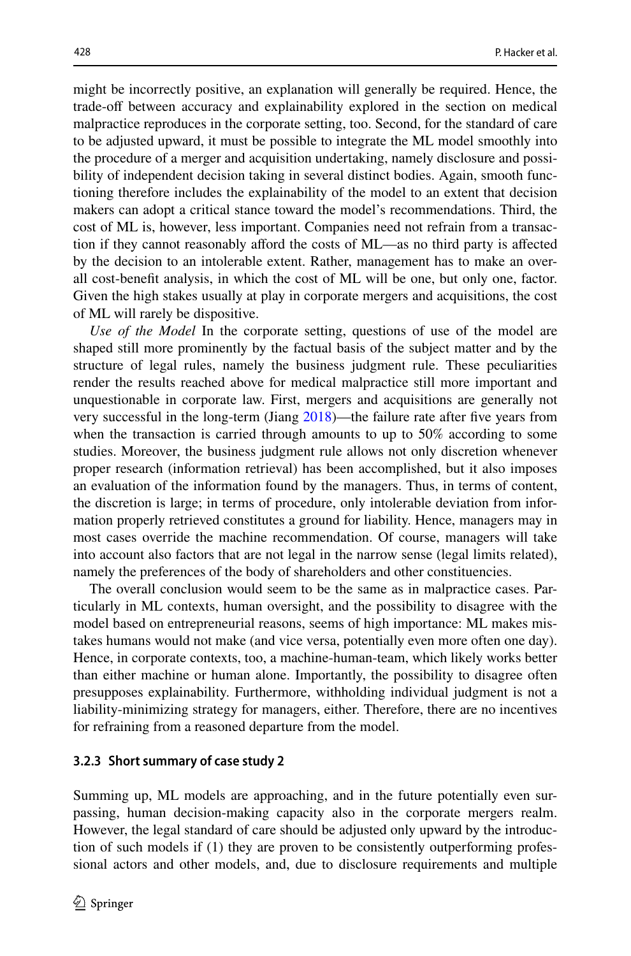might be incorrectly positive, an explanation will generally be required. Hence, the trade-off between accuracy and explainability explored in the section on medical malpractice reproduces in the corporate setting, too. Second, for the standard of care to be adjusted upward, it must be possible to integrate the ML model smoothly into the procedure of a merger and acquisition undertaking, namely disclosure and possibility of independent decision taking in several distinct bodies. Again, smooth functioning therefore includes the explainability of the model to an extent that decision makers can adopt a critical stance toward the model's recommendations. Third, the cost of ML is, however, less important. Companies need not refrain from a transaction if they cannot reasonably afford the costs of ML—as no third party is affected by the decision to an intolerable extent. Rather, management has to make an overall cost-beneft analysis, in which the cost of ML will be one, but only one, factor. Given the high stakes usually at play in corporate mergers and acquisitions, the cost of ML will rarely be dispositive.

*Use of the Model* In the corporate setting, questions of use of the model are shaped still more prominently by the factual basis of the subject matter and by the structure of legal rules, namely the business judgment rule. These peculiarities render the results reached above for medical malpractice still more important and unquestionable in corporate law. First, mergers and acquisitions are generally not very successful in the long-term (Jiang [2018](#page-22-17))—the failure rate after fve years from when the transaction is carried through amounts to up to 50% according to some studies. Moreover, the business judgment rule allows not only discretion whenever proper research (information retrieval) has been accomplished, but it also imposes an evaluation of the information found by the managers. Thus, in terms of content, the discretion is large; in terms of procedure, only intolerable deviation from information properly retrieved constitutes a ground for liability. Hence, managers may in most cases override the machine recommendation. Of course, managers will take into account also factors that are not legal in the narrow sense (legal limits related), namely the preferences of the body of shareholders and other constituencies.

The overall conclusion would seem to be the same as in malpractice cases. Particularly in ML contexts, human oversight, and the possibility to disagree with the model based on entrepreneurial reasons, seems of high importance: ML makes mistakes humans would not make (and vice versa, potentially even more often one day). Hence, in corporate contexts, too, a machine-human-team, which likely works better than either machine or human alone. Importantly, the possibility to disagree often presupposes explainability. Furthermore, withholding individual judgment is not a liability-minimizing strategy for managers, either. Therefore, there are no incentives for refraining from a reasoned departure from the model.

#### **3.2.3 Short summary of case study 2**

Summing up, ML models are approaching, and in the future potentially even surpassing, human decision-making capacity also in the corporate mergers realm. However, the legal standard of care should be adjusted only upward by the introduction of such models if (1) they are proven to be consistently outperforming professional actors and other models, and, due to disclosure requirements and multiple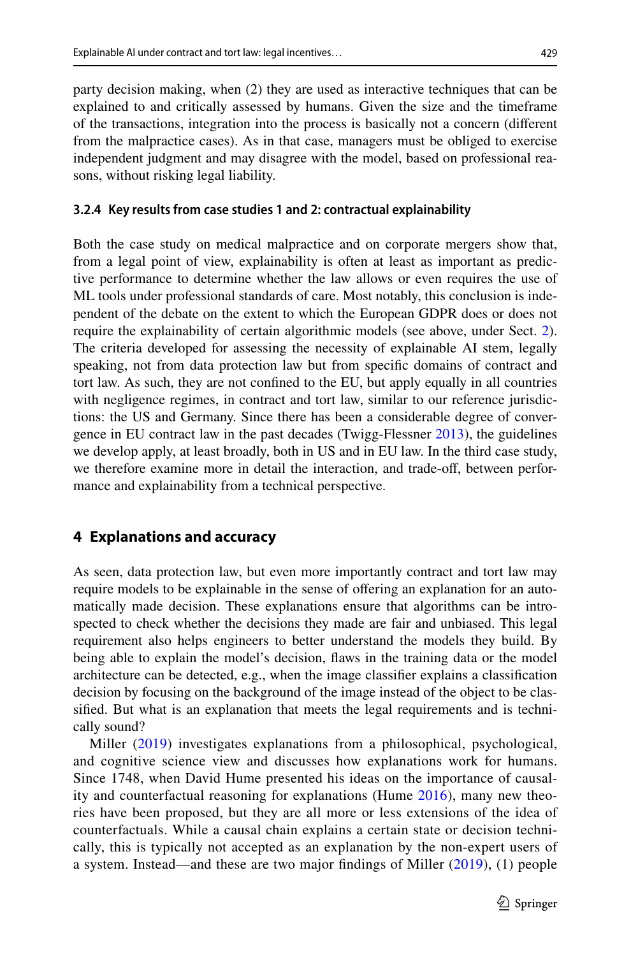party decision making, when (2) they are used as interactive techniques that can be explained to and critically assessed by humans. Given the size and the timeframe of the transactions, integration into the process is basically not a concern (diferent from the malpractice cases). As in that case, managers must be obliged to exercise independent judgment and may disagree with the model, based on professional reasons, without risking legal liability.

#### **3.2.4 Key results from case studies 1 and 2: contractual explainability**

Both the case study on medical malpractice and on corporate mergers show that, from a legal point of view, explainability is often at least as important as predictive performance to determine whether the law allows or even requires the use of ML tools under professional standards of care. Most notably, this conclusion is independent of the debate on the extent to which the European GDPR does or does not require the explainability of certain algorithmic models (see above, under Sect. [2\)](#page-2-0). The criteria developed for assessing the necessity of explainable AI stem, legally speaking, not from data protection law but from specifc domains of contract and tort law. As such, they are not confned to the EU, but apply equally in all countries with negligence regimes, in contract and tort law, similar to our reference jurisdictions: the US and Germany. Since there has been a considerable degree of convergence in EU contract law in the past decades (Twigg-Flessner [2013](#page-24-12)), the guidelines we develop apply, at least broadly, both in US and in EU law. In the third case study, we therefore examine more in detail the interaction, and trade-off, between performance and explainability from a technical perspective.

## <span id="page-14-0"></span>**4 Explanations and accuracy**

As seen, data protection law, but even more importantly contract and tort law may require models to be explainable in the sense of ofering an explanation for an automatically made decision. These explanations ensure that algorithms can be introspected to check whether the decisions they made are fair and unbiased. This legal requirement also helps engineers to better understand the models they build. By being able to explain the model's decision, faws in the training data or the model architecture can be detected, e.g., when the image classifer explains a classifcation decision by focusing on the background of the image instead of the object to be classifed. But what is an explanation that meets the legal requirements and is technically sound?

Miller ([2019\)](#page-23-23) investigates explanations from a philosophical, psychological, and cognitive science view and discusses how explanations work for humans. Since 1748, when David Hume presented his ideas on the importance of causality and counterfactual reasoning for explanations (Hume [2016\)](#page-22-20), many new theories have been proposed, but they are all more or less extensions of the idea of counterfactuals. While a causal chain explains a certain state or decision technically, this is typically not accepted as an explanation by the non-expert users of a system. Instead—and these are two major fndings of Miller ([2019\)](#page-23-23), (1) people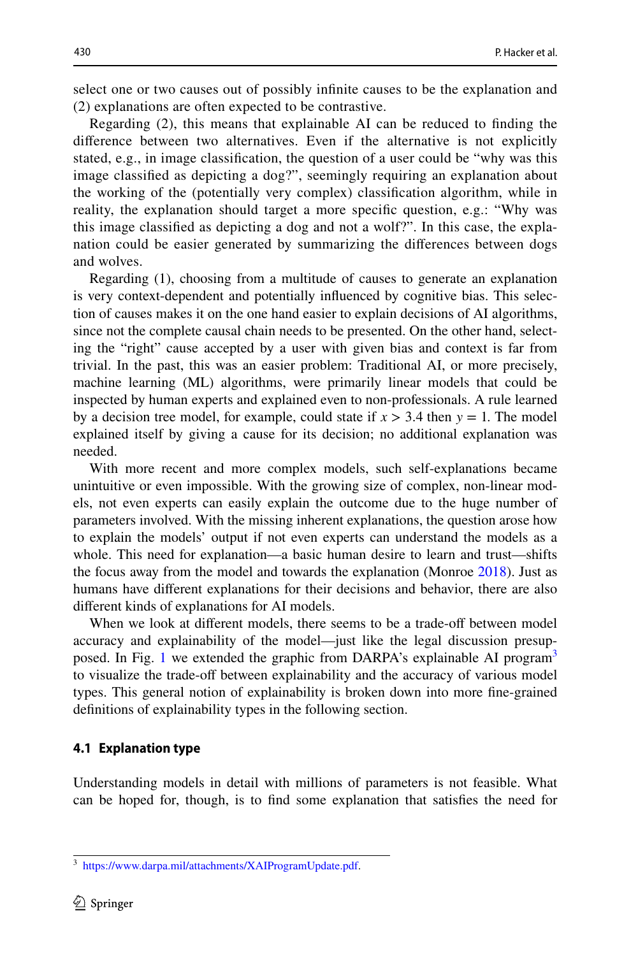select one or two causes out of possibly infnite causes to be the explanation and (2) explanations are often expected to be contrastive.

Regarding (2), this means that explainable AI can be reduced to fnding the diference between two alternatives. Even if the alternative is not explicitly stated, e.g., in image classifcation, the question of a user could be "why was this image classifed as depicting a dog?", seemingly requiring an explanation about the working of the (potentially very complex) classifcation algorithm, while in reality, the explanation should target a more specifc question, e.g.: "Why was this image classifed as depicting a dog and not a wolf?". In this case, the explanation could be easier generated by summarizing the diferences between dogs and wolves.

Regarding (1), choosing from a multitude of causes to generate an explanation is very context-dependent and potentially infuenced by cognitive bias. This selection of causes makes it on the one hand easier to explain decisions of AI algorithms, since not the complete causal chain needs to be presented. On the other hand, selecting the "right" cause accepted by a user with given bias and context is far from trivial. In the past, this was an easier problem: Traditional AI, or more precisely, machine learning (ML) algorithms, were primarily linear models that could be inspected by human experts and explained even to non-professionals. A rule learned by a decision tree model, for example, could state if *x >* 3.4 then *y* = 1. The model explained itself by giving a cause for its decision; no additional explanation was needed.

With more recent and more complex models, such self-explanations became unintuitive or even impossible. With the growing size of complex, non-linear models, not even experts can easily explain the outcome due to the huge number of parameters involved. With the missing inherent explanations, the question arose how to explain the models' output if not even experts can understand the models as a whole. This need for explanation—a basic human desire to learn and trust—shifts the focus away from the model and towards the explanation (Monroe [2018](#page-23-24)). Just as humans have diferent explanations for their decisions and behavior, there are also diferent kinds of explanations for AI models.

When we look at different models, there seems to be a trade-off between model accuracy and explainability of the model—just like the legal discussion presup-posed. In Fig. [1](#page-16-0) we extended the graphic from DARPA's explainable AI program<sup>[3](#page-15-0)</sup> to visualize the trade-off between explainability and the accuracy of various model types. This general notion of explainability is broken down into more fne-grained defnitions of explainability types in the following section.

#### **4.1 Explanation type**

Understanding models in detail with millions of parameters is not feasible. What can be hoped for, though, is to fnd some explanation that satisfes the need for

<span id="page-15-0"></span><sup>3</sup> [https://www.darpa.mil/attachments/XAIProgramUpdate.pdf.](https://www.darpa.mil/attachments/XAIProgramUpdate.pdf)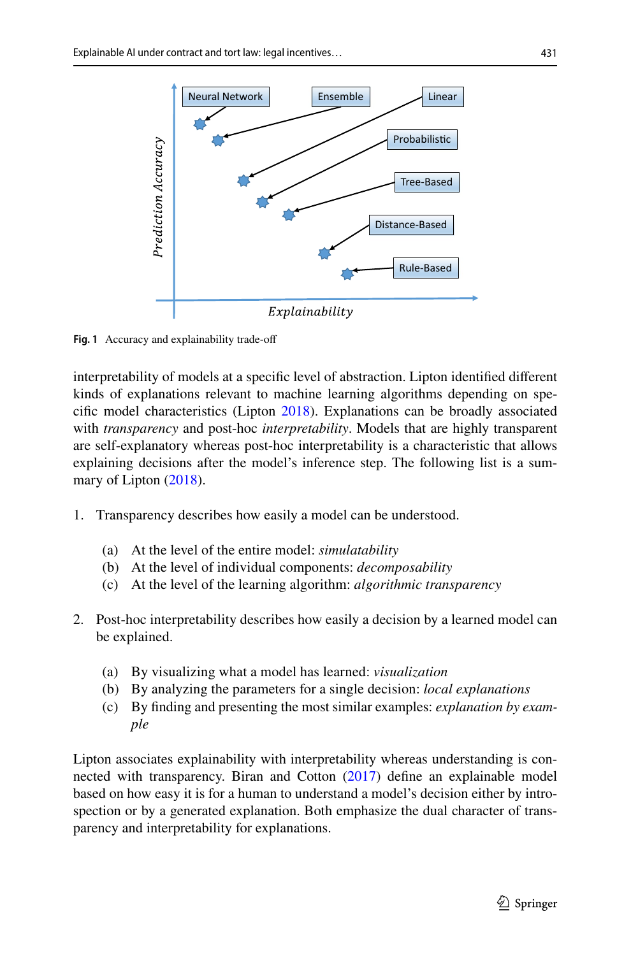

<span id="page-16-0"></span>**Fig. 1** Accuracy and explainability trade-of

interpretability of models at a specifc level of abstraction. Lipton identifed diferent kinds of explanations relevant to machine learning algorithms depending on specifc model characteristics (Lipton [2018](#page-23-7)). Explanations can be broadly associated with *transparency* and post-hoc *interpretability*. Models that are highly transparent are self-explanatory whereas post-hoc interpretability is a characteristic that allows explaining decisions after the model's inference step. The following list is a sum-mary of Lipton ([2018\)](#page-23-7).

- 1. Transparency describes how easily a model can be understood.
	- (a) At the level of the entire model: *simulatability*
	- (b) At the level of individual components: *decomposability*
	- (c) At the level of the learning algorithm: *algorithmic transparency*
- 2. Post-hoc interpretability describes how easily a decision by a learned model can be explained.
	- (a) By visualizing what a model has learned: *visualization*
	- (b) By analyzing the parameters for a single decision: *local explanations*
	- (c) By fnding and presenting the most similar examples: *explanation by example*

Lipton associates explainability with interpretability whereas understanding is connected with transparency. Biran and Cotton [\(2017](#page-22-21)) defne an explainable model based on how easy it is for a human to understand a model's decision either by introspection or by a generated explanation. Both emphasize the dual character of transparency and interpretability for explanations.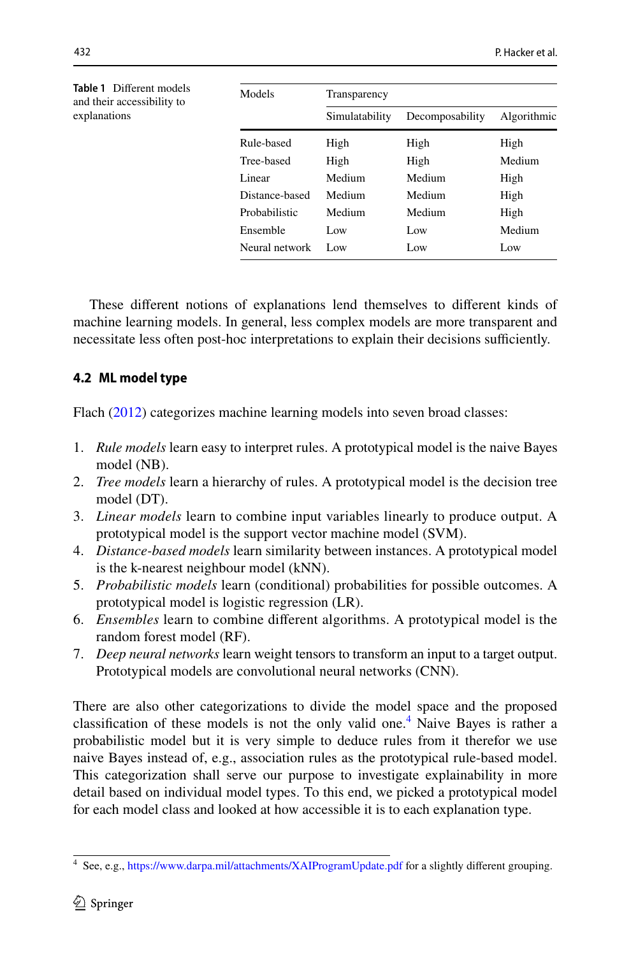<span id="page-17-1"></span>

| <b>Table 1</b> Different models<br>and their accessibility to | Models         | Transparency   |                 |             |
|---------------------------------------------------------------|----------------|----------------|-----------------|-------------|
| explanations                                                  |                | Simulatability | Decomposability | Algorithmic |
|                                                               | Rule-based     | High           | High            | High        |
|                                                               | Tree-based     | High           | High            | Medium      |
|                                                               | Linear         | Medium         | Medium          | High        |
|                                                               | Distance-based | Medium         | Medium          | High        |
|                                                               | Probabilistic  | Medium         | Medium          | High        |
|                                                               | Ensemble       | Low            | Low             | Medium      |
|                                                               | Neural network | Low            | Low             | Low         |

These diferent notions of explanations lend themselves to diferent kinds of machine learning models. In general, less complex models are more transparent and necessitate less often post-hoc interpretations to explain their decisions sufficiently.

## <span id="page-17-2"></span>**4.2 ML model type**

Flach ([2012\)](#page-22-22) categorizes machine learning models into seven broad classes:

- 1. *Rule models* learn easy to interpret rules. A prototypical model is the naive Bayes model (NB).
- 2. *Tree models* learn a hierarchy of rules. A prototypical model is the decision tree model (DT).
- 3. *Linear models* learn to combine input variables linearly to produce output. A prototypical model is the support vector machine model (SVM).
- 4. *Distance-based models* learn similarity between instances. A prototypical model is the k-nearest neighbour model (kNN).
- 5. *Probabilistic models* learn (conditional) probabilities for possible outcomes. A prototypical model is logistic regression (LR).
- 6. *Ensembles* learn to combine diferent algorithms. A prototypical model is the random forest model (RF).
- 7. *Deep neural networks* learn weight tensors to transform an input to a target output. Prototypical models are convolutional neural networks (CNN).

There are also other categorizations to divide the model space and the proposed classification of these models is not the only valid one.<sup>[4](#page-17-0)</sup> Naive Bayes is rather a probabilistic model but it is very simple to deduce rules from it therefor we use naive Bayes instead of, e.g., association rules as the prototypical rule-based model. This categorization shall serve our purpose to investigate explainability in more detail based on individual model types. To this end, we picked a prototypical model for each model class and looked at how accessible it is to each explanation type.

<span id="page-17-0"></span><sup>4</sup> See, e.g., <https://www.darpa.mil/attachments/XAIProgramUpdate.pdf>for a slightly diferent grouping.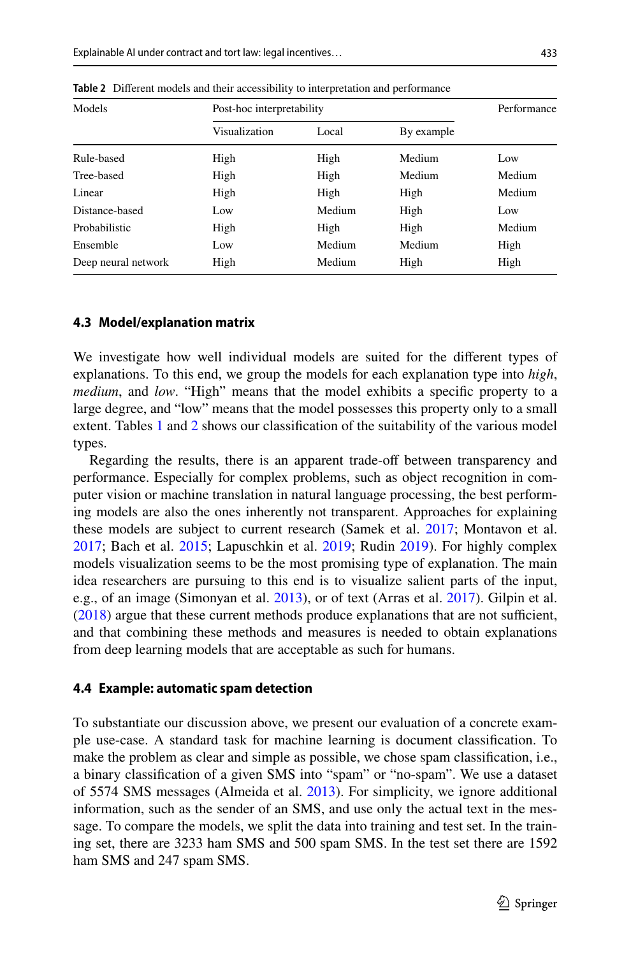| Models              |               | Post-hoc interpretability |            |        |
|---------------------|---------------|---------------------------|------------|--------|
|                     | Visualization | Local                     | By example |        |
| Rule-based          | High          | High                      | Medium     | Low    |
| Tree-based          | High          | High                      | Medium     | Medium |
| Linear              | High          | High                      | High       | Medium |
| Distance-based      | Low           | Medium                    | High       | Low    |
| Probabilistic       | High          | High                      | High       | Medium |
| Ensemble            | Low           | Medium                    | Medium     | High   |
| Deep neural network | High          | Medium                    | High       | High   |

<span id="page-18-0"></span>**Table 2** Diferent models and their accessibility to interpretation and performance

#### **4.3 Model/explanation matrix**

We investigate how well individual models are suited for the diferent types of explanations. To this end, we group the models for each explanation type into *high*, *medium*, and *low*. "High" means that the model exhibits a specifc property to a large degree, and "low" means that the model possesses this property only to a small extent. Tables [1](#page-17-1) and [2](#page-18-0) shows our classifcation of the suitability of the various model types.

Regarding the results, there is an apparent trade-off between transparency and performance. Especially for complex problems, such as object recognition in computer vision or machine translation in natural language processing, the best performing models are also the ones inherently not transparent. Approaches for explaining these models are subject to current research (Samek et al. [2017;](#page-23-10) Montavon et al. [2017](#page-23-11); Bach et al. [2015;](#page-22-4) Lapuschkin et al. [2019;](#page-23-9) Rudin [2019\)](#page-23-6). For highly complex models visualization seems to be the most promising type of explanation. The main idea researchers are pursuing to this end is to visualize salient parts of the input, e.g., of an image (Simonyan et al. [2013\)](#page-23-25), or of text (Arras et al. [2017](#page-21-1)). Gilpin et al.  $(2018)$  $(2018)$  argue that these current methods produce explanations that are not sufficient, and that combining these methods and measures is needed to obtain explanations from deep learning models that are acceptable as such for humans.

#### **4.4 Example: automatic spam detection**

To substantiate our discussion above, we present our evaluation of a concrete example use-case. A standard task for machine learning is document classifcation. To make the problem as clear and simple as possible, we chose spam classifcation, i.e., a binary classifcation of a given SMS into "spam" or "no-spam". We use a dataset of 5574 SMS messages (Almeida et al. [2013\)](#page-21-2). For simplicity, we ignore additional information, such as the sender of an SMS, and use only the actual text in the message. To compare the models, we split the data into training and test set. In the training set, there are 3233 ham SMS and 500 spam SMS. In the test set there are 1592 ham SMS and 247 spam SMS.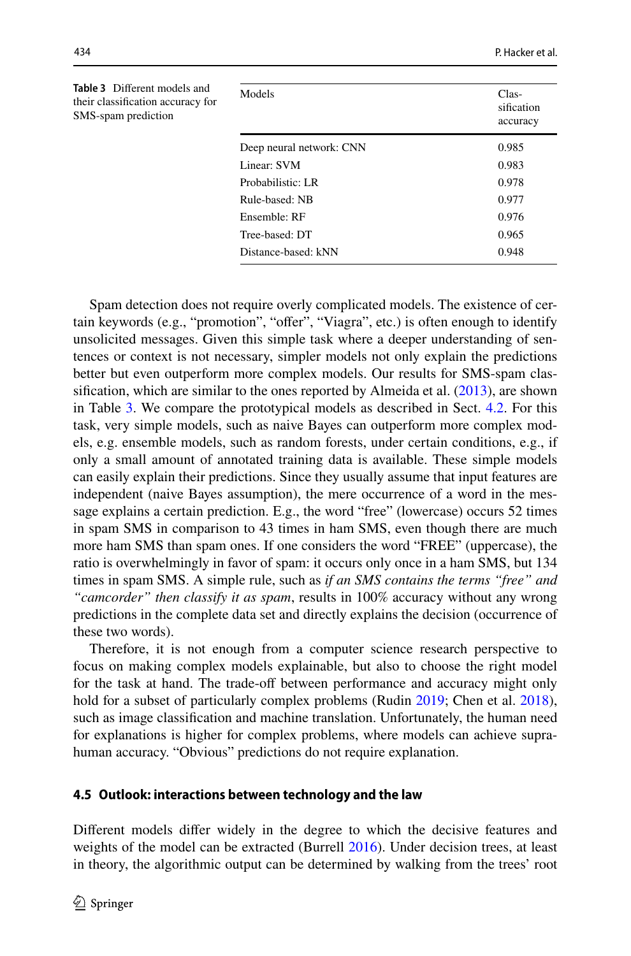<span id="page-19-0"></span>

| <b>Table 3</b> Different models and<br>their classification accuracy for<br>SMS-spam prediction | Models                   | Clas-<br>sification<br>accuracy |
|-------------------------------------------------------------------------------------------------|--------------------------|---------------------------------|
|                                                                                                 | Deep neural network: CNN | 0.985                           |
|                                                                                                 | Linear: SVM              | 0.983                           |
|                                                                                                 | Probabilistic: LR        | 0.978                           |
|                                                                                                 | Rule-based: NB           | 0.977                           |
|                                                                                                 | Ensemble: RF             | 0.976                           |
|                                                                                                 | Tree-based: DT           | 0.965                           |
|                                                                                                 | Distance-based: kNN      | 0.948                           |

Spam detection does not require overly complicated models. The existence of certain keywords (e.g., "promotion", "offer", "Viagra", etc.) is often enough to identify unsolicited messages. Given this simple task where a deeper understanding of sentences or context is not necessary, simpler models not only explain the predictions better but even outperform more complex models. Our results for SMS-spam classifcation, which are similar to the ones reported by Almeida et al. ([2013\)](#page-21-2), are shown in Table [3.](#page-19-0) We compare the prototypical models as described in Sect. [4.2](#page-17-2). For this task, very simple models, such as naive Bayes can outperform more complex models, e.g. ensemble models, such as random forests, under certain conditions, e.g., if only a small amount of annotated training data is available. These simple models can easily explain their predictions. Since they usually assume that input features are independent (naive Bayes assumption), the mere occurrence of a word in the message explains a certain prediction. E.g., the word "free" (lowercase) occurs 52 times in spam SMS in comparison to 43 times in ham SMS, even though there are much more ham SMS than spam ones. If one considers the word "FREE" (uppercase), the ratio is overwhelmingly in favor of spam: it occurs only once in a ham SMS, but 134 times in spam SMS. A simple rule, such as *if an SMS contains the terms "free" and "camcorder" then classify it as spam*, results in 100% accuracy without any wrong predictions in the complete data set and directly explains the decision (occurrence of these two words).

Therefore, it is not enough from a computer science research perspective to focus on making complex models explainable, but also to choose the right model for the task at hand. The trade-of between performance and accuracy might only hold for a subset of particularly complex problems (Rudin [2019;](#page-23-6) Chen et al. [2018\)](#page-22-24), such as image classifcation and machine translation. Unfortunately, the human need for explanations is higher for complex problems, where models can achieve suprahuman accuracy. "Obvious" predictions do not require explanation.

### **4.5 Outlook: interactions between technology and the law**

Diferent models difer widely in the degree to which the decisive features and weights of the model can be extracted (Burrell [2016\)](#page-22-25). Under decision trees, at least in theory, the algorithmic output can be determined by walking from the trees' root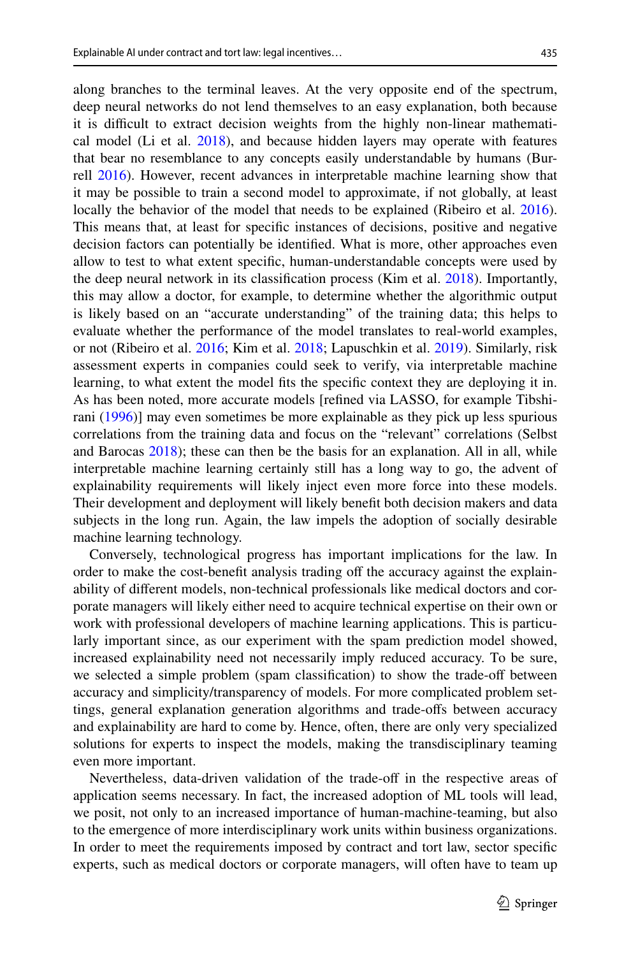along branches to the terminal leaves. At the very opposite end of the spectrum, deep neural networks do not lend themselves to an easy explanation, both because it is difcult to extract decision weights from the highly non-linear mathematical model (Li et al. [2018](#page-23-26)), and because hidden layers may operate with features that bear no resemblance to any concepts easily understandable by humans (Burrell [2016](#page-22-25)). However, recent advances in interpretable machine learning show that it may be possible to train a second model to approximate, if not globally, at least locally the behavior of the model that needs to be explained (Ribeiro et al. [2016\)](#page-23-8). This means that, at least for specifc instances of decisions, positive and negative decision factors can potentially be identifed. What is more, other approaches even allow to test to what extent specifc, human-understandable concepts were used by the deep neural network in its classifcation process (Kim et al. [2018](#page-22-26)). Importantly, this may allow a doctor, for example, to determine whether the algorithmic output is likely based on an "accurate understanding" of the training data; this helps to evaluate whether the performance of the model translates to real-world examples, or not (Ribeiro et al. [2016](#page-23-8); Kim et al. [2018](#page-22-26); Lapuschkin et al. [2019\)](#page-23-9). Similarly, risk assessment experts in companies could seek to verify, via interpretable machine learning, to what extent the model fts the specifc context they are deploying it in. As has been noted, more accurate models [refned via LASSO, for example Tibshirani ([1996\)](#page-24-13)] may even sometimes be more explainable as they pick up less spurious correlations from the training data and focus on the "relevant" correlations (Selbst and Barocas [2018\)](#page-23-27); these can then be the basis for an explanation. All in all, while interpretable machine learning certainly still has a long way to go, the advent of explainability requirements will likely inject even more force into these models. Their development and deployment will likely beneft both decision makers and data subjects in the long run. Again, the law impels the adoption of socially desirable machine learning technology.

Conversely, technological progress has important implications for the law. In order to make the cost-beneft analysis trading of the accuracy against the explainability of diferent models, non-technical professionals like medical doctors and corporate managers will likely either need to acquire technical expertise on their own or work with professional developers of machine learning applications. This is particularly important since, as our experiment with the spam prediction model showed, increased explainability need not necessarily imply reduced accuracy. To be sure, we selected a simple problem (spam classifcation) to show the trade-of between accuracy and simplicity/transparency of models. For more complicated problem settings, general explanation generation algorithms and trade-ofs between accuracy and explainability are hard to come by. Hence, often, there are only very specialized solutions for experts to inspect the models, making the transdisciplinary teaming even more important.

Nevertheless, data-driven validation of the trade-of in the respective areas of application seems necessary. In fact, the increased adoption of ML tools will lead, we posit, not only to an increased importance of human-machine-teaming, but also to the emergence of more interdisciplinary work units within business organizations. In order to meet the requirements imposed by contract and tort law, sector specifc experts, such as medical doctors or corporate managers, will often have to team up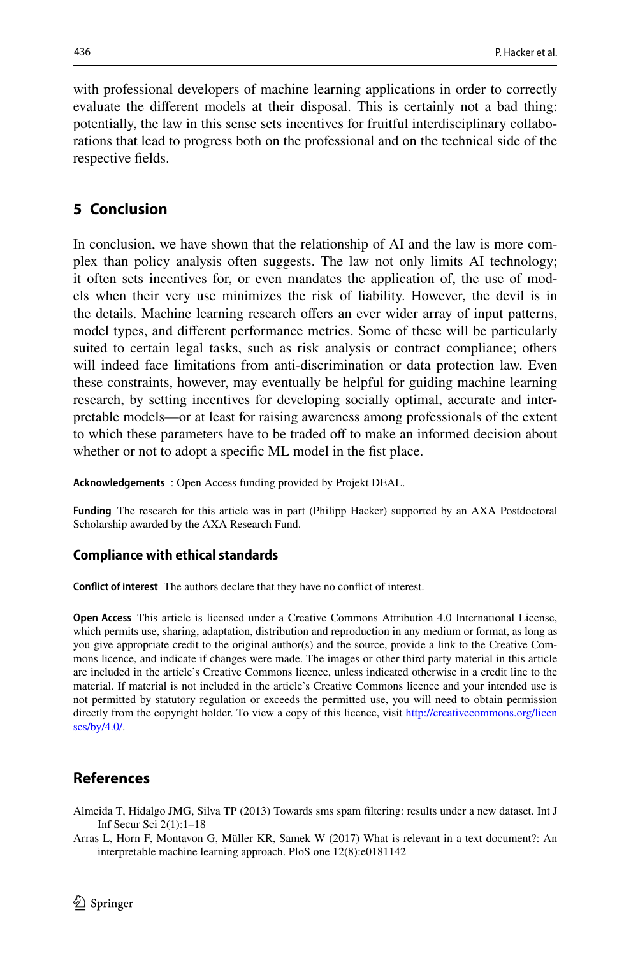with professional developers of machine learning applications in order to correctly evaluate the diferent models at their disposal. This is certainly not a bad thing: potentially, the law in this sense sets incentives for fruitful interdisciplinary collaborations that lead to progress both on the professional and on the technical side of the respective felds.

## <span id="page-21-0"></span>**5 Conclusion**

In conclusion, we have shown that the relationship of AI and the law is more complex than policy analysis often suggests. The law not only limits AI technology; it often sets incentives for, or even mandates the application of, the use of models when their very use minimizes the risk of liability. However, the devil is in the details. Machine learning research ofers an ever wider array of input patterns, model types, and diferent performance metrics. Some of these will be particularly suited to certain legal tasks, such as risk analysis or contract compliance; others will indeed face limitations from anti-discrimination or data protection law. Even these constraints, however, may eventually be helpful for guiding machine learning research, by setting incentives for developing socially optimal, accurate and interpretable models—or at least for raising awareness among professionals of the extent to which these parameters have to be traded off to make an informed decision about whether or not to adopt a specific ML model in the fist place.

**Acknowledgements** : Open Access funding provided by Projekt DEAL.

**Funding** The research for this article was in part (Philipp Hacker) supported by an AXA Postdoctoral Scholarship awarded by the AXA Research Fund.

#### **Compliance with ethical standards**

**Confict of interest** The authors declare that they have no confict of interest.

**Open Access** This article is licensed under a Creative Commons Attribution 4.0 International License, which permits use, sharing, adaptation, distribution and reproduction in any medium or format, as long as you give appropriate credit to the original author(s) and the source, provide a link to the Creative Commons licence, and indicate if changes were made. The images or other third party material in this article are included in the article's Creative Commons licence, unless indicated otherwise in a credit line to the material. If material is not included in the article's Creative Commons licence and your intended use is not permitted by statutory regulation or exceeds the permitted use, you will need to obtain permission directly from the copyright holder. To view a copy of this licence, visit [http://creativecommons.org/licen](http://creativecommons.org/licenses/by/4.0/) [ses/by/4.0/](http://creativecommons.org/licenses/by/4.0/).

## **References**

<span id="page-21-2"></span>Almeida T, Hidalgo JMG, Silva TP (2013) Towards sms spam fltering: results under a new dataset. Int J Inf Secur Sci 2(1):1–18

<span id="page-21-1"></span>Arras L, Horn F, Montavon G, Müller KR, Samek W (2017) What is relevant in a text document?: An interpretable machine learning approach. PloS one 12(8):e0181142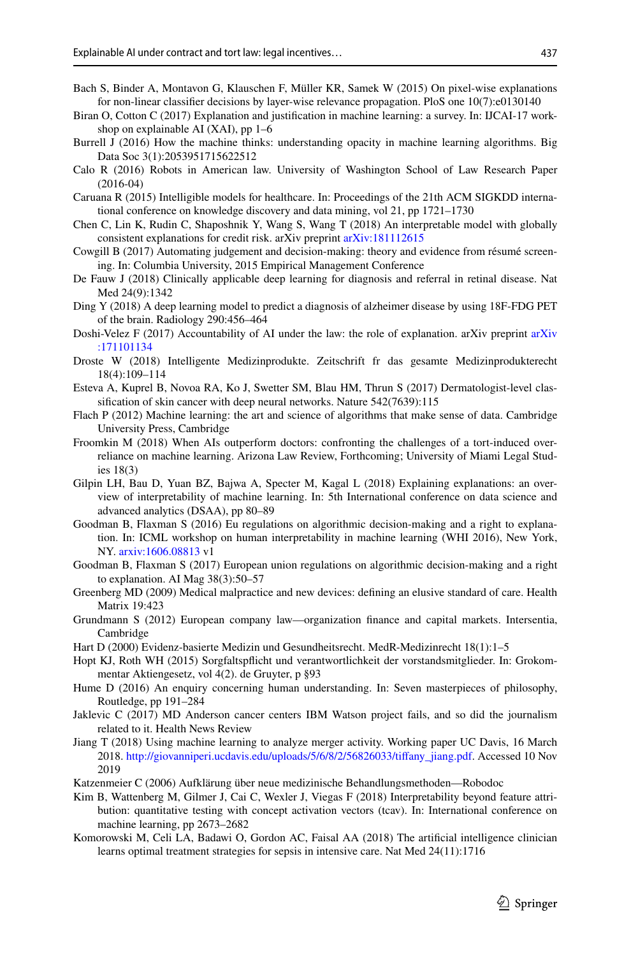- <span id="page-22-4"></span>Bach S, Binder A, Montavon G, Klauschen F, Müller KR, Samek W (2015) On pixel-wise explanations for non-linear classifer decisions by layer-wise relevance propagation. PloS one 10(7):e0130140
- <span id="page-22-21"></span>Biran O, Cotton C (2017) Explanation and justifcation in machine learning: a survey. In: IJCAI-17 workshop on explainable AI (XAI), pp 1–6
- <span id="page-22-25"></span>Burrell J (2016) How the machine thinks: understanding opacity in machine learning algorithms. Big Data Soc 3(1):2053951715622512
- <span id="page-22-1"></span>Calo R (2016) Robots in American law. University of Washington School of Law Research Paper (2016-04)
- <span id="page-22-15"></span>Caruana R (2015) Intelligible models for healthcare. In: Proceedings of the 21th ACM SIGKDD international conference on knowledge discovery and data mining, vol 21, pp 1721–1730
- <span id="page-22-24"></span>Chen C, Lin K, Rudin C, Shaposhnik Y, Wang S, Wang T (2018) An interpretable model with globally consistent explanations for credit risk. arXiv preprint [arXiv:181112615](http://arxiv.org/abs/181112615)
- <span id="page-22-0"></span>Cowgill B (2017) Automating judgement and decision-making: theory and evidence from résumé screening. In: Columbia University, 2015 Empirical Management Conference
- <span id="page-22-8"></span>De Fauw J (2018) Clinically applicable deep learning for diagnosis and referral in retinal disease. Nat Med 24(9):1342
- <span id="page-22-7"></span>Ding Y (2018) A deep learning model to predict a diagnosis of alzheimer disease by using 18F-FDG PET of the brain. Radiology 290:456–464
- <span id="page-22-2"></span>Doshi-Velez F (2017) Accountability of AI under the law: the role of explanation. [arXiv](http://arxiv.org/abs/171101134) preprint arXiv [:171101134](http://arxiv.org/abs/171101134)
- <span id="page-22-16"></span>Droste W (2018) Intelligente Medizinprodukte. Zeitschrift fr das gesamte Medizinprodukterecht 18(4):109–114
- <span id="page-22-9"></span>Esteva A, Kuprel B, Novoa RA, Ko J, Swetter SM, Blau HM, Thrun S (2017) Dermatologist-level classifcation of skin cancer with deep neural networks. Nature 542(7639):115
- <span id="page-22-22"></span>Flach P (2012) Machine learning: the art and science of algorithms that make sense of data. Cambridge University Press, Cambridge
- <span id="page-22-13"></span>Froomkin M (2018) When AIs outperform doctors: confronting the challenges of a tort-induced overreliance on machine learning. Arizona Law Review, Forthcoming; University of Miami Legal Studies 18(3)
- <span id="page-22-23"></span>Gilpin LH, Bau D, Yuan BZ, Bajwa A, Specter M, Kagal L (2018) Explaining explanations: an overview of interpretability of machine learning. In: 5th International conference on data science and advanced analytics (DSAA), pp 80–89
- <span id="page-22-3"></span>Goodman B, Flaxman S (2016) Eu regulations on algorithmic decision-making and a right to explanation. In: ICML workshop on human interpretability in machine learning (WHI 2016), New York, NY. [arxiv:1606.08813](http://arxiv.org/abs/1606.08813) v1
- <span id="page-22-5"></span>Goodman B, Flaxman S (2017) European union regulations on algorithmic decision-making and a right to explanation. AI Mag 38(3):50–57
- <span id="page-22-12"></span>Greenberg MD (2009) Medical malpractice and new devices: defning an elusive standard of care. Health Matrix 19:423
- <span id="page-22-19"></span>Grundmann S (2012) European company law—organization fnance and capital markets. Intersentia, Cambridge
- <span id="page-22-14"></span>Hart D (2000) Evidenz-basierte Medizin und Gesundheitsrecht. MedR-Medizinrecht 18(1):1–5
- <span id="page-22-18"></span>Hopt KJ, Roth WH (2015) Sorgfaltspficht und verantwortlichkeit der vorstandsmitglieder. In: Grokommentar Aktiengesetz, vol 4(2). de Gruyter, p §93
- <span id="page-22-20"></span>Hume D (2016) An enquiry concerning human understanding. In: Seven masterpieces of philosophy, Routledge, pp 191–284
- <span id="page-22-10"></span>Jaklevic C (2017) MD Anderson cancer centers IBM Watson project fails, and so did the journalism related to it. Health News Review
- <span id="page-22-17"></span>Jiang T (2018) Using machine learning to analyze merger activity. Working paper UC Davis, 16 March 2018. [http://giovanniperi.ucdavis.edu/uploads/5/6/8/2/56826033/tifany\\_jiang.pdf.](http://giovanniperi.ucdavis.edu/uploads/5/6/8/2/56826033/tiffany_jiang.pdf) Accessed 10 Nov 2019
- <span id="page-22-11"></span>Katzenmeier C (2006) Aufklärung über neue medizinische Behandlungsmethoden—Robodoc
- <span id="page-22-26"></span>Kim B, Wattenberg M, Gilmer J, Cai C, Wexler J, Viegas F (2018) Interpretability beyond feature attribution: quantitative testing with concept activation vectors (tcav). In: International conference on machine learning, pp 2673–2682
- <span id="page-22-6"></span>Komorowski M, Celi LA, Badawi O, Gordon AC, Faisal AA (2018) The artifcial intelligence clinician learns optimal treatment strategies for sepsis in intensive care. Nat Med 24(11):1716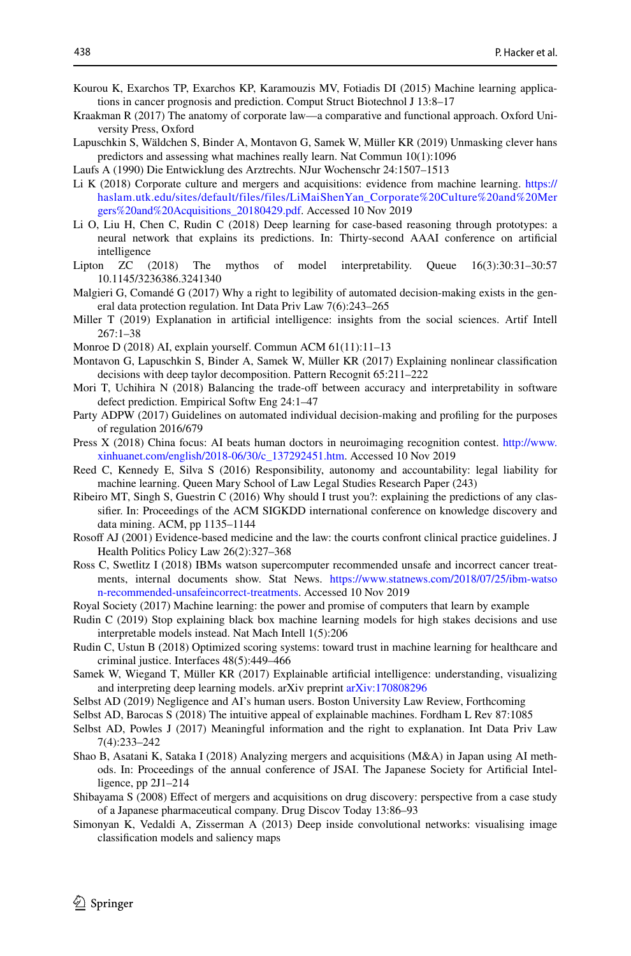- <span id="page-23-13"></span>Kourou K, Exarchos TP, Exarchos KP, Karamouzis MV, Fotiadis DI (2015) Machine learning applications in cancer prognosis and prediction. Comput Struct Biotechnol J 13:8–17
- <span id="page-23-22"></span>Kraakman R (2017) The anatomy of corporate law—a comparative and functional approach. Oxford University Press, Oxford
- <span id="page-23-9"></span>Lapuschkin S, Wäldchen S, Binder A, Montavon G, Samek W, Müller KR (2019) Unmasking clever hans predictors and assessing what machines really learn. Nat Commun 10(1):1096
- <span id="page-23-17"></span>Laufs A (1990) Die Entwicklung des Arztrechts. NJur Wochenschr 24:1507–1513
- <span id="page-23-19"></span>Li K (2018) Corporate culture and mergers and acquisitions: evidence from machine learning. [https://](https://haslam.utk.edu/sites/default/files/files/LiMaiShenYan_Corporate%20Culture%20and%20Mergers%20and%20Acquisitions_20180429.pdf) [haslam.utk.edu/sites/default/files/files/LiMaiShenYan\\_Corporate%20Culture%20and%20Mer](https://haslam.utk.edu/sites/default/files/files/LiMaiShenYan_Corporate%20Culture%20and%20Mergers%20and%20Acquisitions_20180429.pdf) [gers%20and%20Acquisitions\\_20180429.pdf.](https://haslam.utk.edu/sites/default/files/files/LiMaiShenYan_Corporate%20Culture%20and%20Mergers%20and%20Acquisitions_20180429.pdf) Accessed 10 Nov 2019
- <span id="page-23-26"></span>Li O, Liu H, Chen C, Rudin C (2018) Deep learning for case-based reasoning through prototypes: a neural network that explains its predictions. In: Thirty-second AAAI conference on artifcial intelligence<br>Lipton ZC (2018)
- <span id="page-23-7"></span>The mythos of model interpretability. Oueue  $16(3):30:31-30:57$ 10.1145/3236386.3241340
- <span id="page-23-4"></span>Malgieri G, Comandé G (2017) Why a right to legibility of automated decision-making exists in the general data protection regulation. Int Data Priv Law 7(6):243–265
- <span id="page-23-23"></span>Miller T (2019) Explanation in artifcial intelligence: insights from the social sciences. Artif Intell 267:1–38
- <span id="page-23-24"></span>Monroe D (2018) AI, explain yourself. Commun ACM 61(11):11–13
- <span id="page-23-11"></span>Montavon G, Lapuschkin S, Binder A, Samek W, Müller KR (2017) Explaining nonlinear classifcation decisions with deep taylor decomposition. Pattern Recognit 65:211–222
- <span id="page-23-5"></span>Mori T, Uchihira N (2018) Balancing the trade-off between accuracy and interpretability in software defect prediction. Empirical Softw Eng 24:1–47
- <span id="page-23-12"></span>Party ADPW (2017) Guidelines on automated individual decision-making and profling for the purposes of regulation 2016/679
- <span id="page-23-14"></span>Press X (2018) China focus: AI beats human doctors in neuroimaging recognition contest. [http://www.](http://www.xinhuanet.com/english/2018-06/30/c_137292451.htm) [xinhuanet.com/english/2018-06/30/c\\_137292451.htm.](http://www.xinhuanet.com/english/2018-06/30/c_137292451.htm) Accessed 10 Nov 2019
- <span id="page-23-1"></span>Reed C, Kennedy E, Silva S (2016) Responsibility, autonomy and accountability: legal liability for machine learning. Queen Mary School of Law Legal Studies Research Paper (243)
- <span id="page-23-8"></span>Ribeiro MT, Singh S, Guestrin C (2016) Why should I trust you?: explaining the predictions of any classifer. In: Proceedings of the ACM SIGKDD international conference on knowledge discovery and data mining. ACM, pp 1135–1144
- <span id="page-23-18"></span>Rosoff AJ (2001) Evidence-based medicine and the law: the courts confront clinical practice guidelines. J Health Politics Policy Law 26(2):327–368
- <span id="page-23-15"></span>Ross C, Swetlitz I (2018) IBMs watson supercomputer recommended unsafe and incorrect cancer treatments, internal documents show. Stat News. [https://www.statnews.com/2018/07/25/ibm-watso](https://www.statnews.com/2018/07/25/ibm-watson-recommended-unsafeincorrect-treatments) [n-recommended-unsafeincorrect-treatments.](https://www.statnews.com/2018/07/25/ibm-watson-recommended-unsafeincorrect-treatments) Accessed 10 Nov 2019
- <span id="page-23-0"></span>Royal Society (2017) Machine learning: the power and promise of computers that learn by example
- <span id="page-23-6"></span>Rudin C (2019) Stop explaining black box machine learning models for high stakes decisions and use interpretable models instead. Nat Mach Intell 1(5):206
- <span id="page-23-16"></span>Rudin C, Ustun B (2018) Optimized scoring systems: toward trust in machine learning for healthcare and criminal justice. Interfaces 48(5):449–466
- <span id="page-23-10"></span>Samek W, Wiegand T, Müller KR (2017) Explainable artifcial intelligence: understanding, visualizing and interpreting deep learning models. arXiv preprint [arXiv:170808296](http://arxiv.org/abs/170808296)
- <span id="page-23-2"></span>Selbst AD (2019) Negligence and AI's human users. Boston University Law Review, Forthcoming
- <span id="page-23-27"></span>Selbst AD, Barocas S (2018) The intuitive appeal of explainable machines. Fordham L Rev 87:1085
- <span id="page-23-3"></span>Selbst AD, Powles J (2017) Meaningful information and the right to explanation. Int Data Priv Law 7(4):233–242
- <span id="page-23-21"></span>Shao B, Asatani K, Sataka I (2018) Analyzing mergers and acquisitions (M&A) in Japan using AI methods. In: Proceedings of the annual conference of JSAI. The Japanese Society for Artifcial Intelligence, pp 2J1–214
- <span id="page-23-20"></span>Shibayama S (2008) Efect of mergers and acquisitions on drug discovery: perspective from a case study of a Japanese pharmaceutical company. Drug Discov Today 13:86–93
- <span id="page-23-25"></span>Simonyan K, Vedaldi A, Zisserman A (2013) Deep inside convolutional networks: visualising image classifcation models and saliency maps